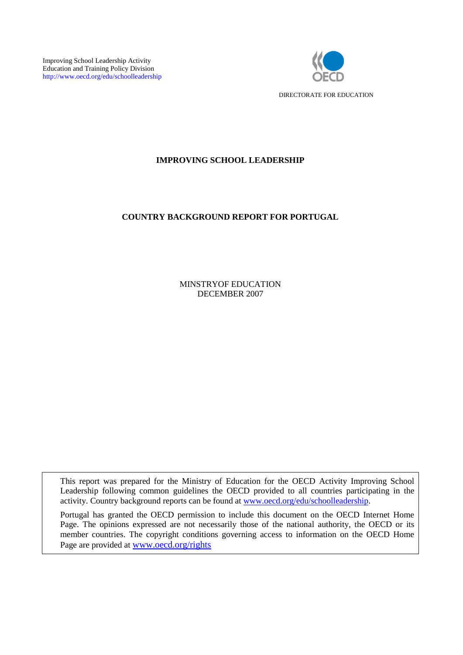Improving School Leadership Activity Education and Training Policy Division http://www.oecd.org/edu/schoolleadership



# **IMPROVING SCHOOL LEADERSHIP**

# **COUNTRY BACKGROUND REPORT FOR PORTUGAL**

MINSTRYOF EDUCATION DECEMBER 2007

This report was prepared for the Ministry of Education for the OECD Activity Improving School Leadership following common guidelines the OECD provided to all countries participating in the activity. Country background reports can be found at [www.oecd.org/edu/schoolleadership.](http://www.oecd.org/edu/schoolleadership)

Portugal has granted the OECD permission to include this document on the OECD Internet Home Page. The opinions expressed are not necessarily those of the national authority, the OECD or its member countries. The copyright conditions governing access to information on the OECD Home Page are provided at [www.oecd.org/rights](http://www.oecd.org/rights)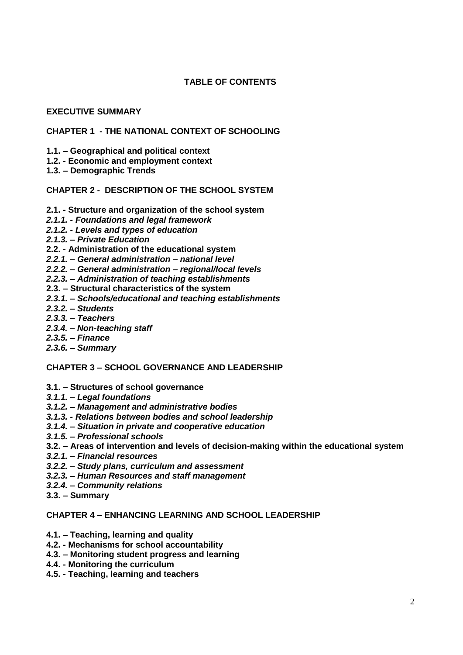# **TABLE OF CONTENTS**

## **EXECUTIVE SUMMARY**

# **CHAPTER 1 - THE NATIONAL CONTEXT OF SCHOOLING**

- **1.1. – Geographical and political context**
- **1.2. - Economic and employment context**
- **1.3. – Demographic Trends**

### **CHAPTER 2 - DESCRIPTION OF THE SCHOOL SYSTEM**

- **2.1. - Structure and organization of the school system**
- *2.1.1. - Foundations and legal framework*
- *2.1.2. - Levels and types of education*
- *2.1.3. – Private Education*
- **2.2. - Administration of the educational system**
- *2.2.1. – General administration – national level*
- *2.2.2. – General administration – regional/local levels*
- *2.2.3. – Administration of teaching establishments*
- **2.3. – Structural characteristics of the system**
- *2.3.1. – Schools/educational and teaching establishments*
- *2.3.2. – Students*
- *2.3.3. – Teachers*
- *2.3.4. – Non-teaching staff*
- *2.3.5. – Finance*
- *2.3.6. – Summary*

#### **CHAPTER 3 – SCHOOL GOVERNANCE AND LEADERSHIP**

- **3.1. – Structures of school governance**
- *3.1.1. – Legal foundations*
- *3.1.2. – Management and administrative bodies*
- *3.1.3. - Relations between bodies and school leadership*
- *3.1.4. – Situation in private and cooperative education*
- *3.1.5. – Professional schools*
- **3.2. – Areas of intervention and levels of decision-making within the educational system**
- *3.2.1. – Financial resources*
- *3.2.2. – Study plans, curriculum and assessment*
- *3.2.3. – Human Resources and staff management*
- *3.2.4. – Community relations*
- **3.3. – Summary**

## **CHAPTER 4 – ENHANCING LEARNING AND SCHOOL LEADERSHIP**

- **4.1. – Teaching, learning and quality**
- **4.2. - Mechanisms for school accountability**
- **4.3. – Monitoring student progress and learning**
- **4.4. - Monitoring the curriculum**
- **4.5. - Teaching, learning and teachers**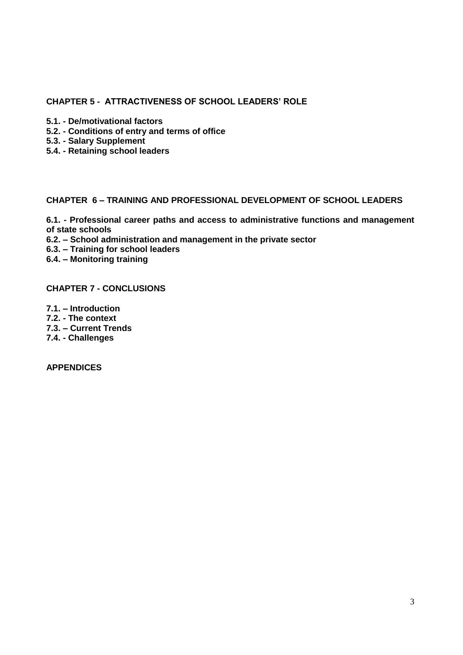# **CHAPTER 5 - ATTRACTIVENESS OF SCHOOL LEADERS" ROLE**

- **5.1. - De/motivational factors**
- **5.2. - Conditions of entry and terms of office**
- **5.3. - Salary Supplement**
- **5.4. - Retaining school leaders**

## **CHAPTER 6 – TRAINING AND PROFESSIONAL DEVELOPMENT OF SCHOOL LEADERS**

**6.1. - Professional career paths and access to administrative functions and management of state schools**

**6.2. – School administration and management in the private sector**

**6.3. – Training for school leaders**

**6.4. – Monitoring training**

**CHAPTER 7 - CONCLUSIONS** 

**7.1. – Introduction 7.2. - The context**

**7.3. – Current Trends**

**7.4. - Challenges**

**APPENDICES**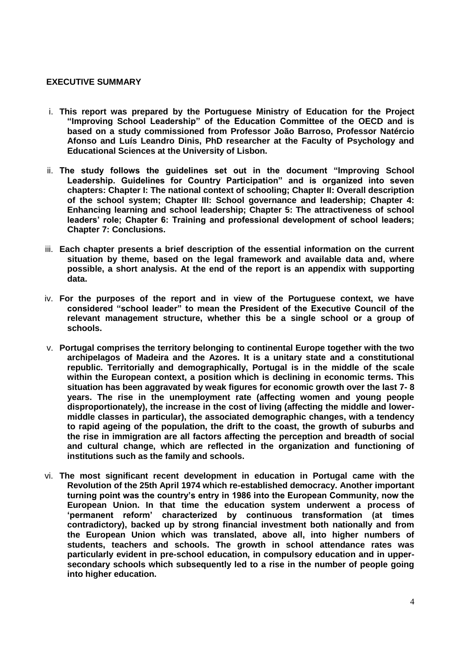### **EXECUTIVE SUMMARY**

- i. **This report was prepared by the Portuguese Ministry of Education for the Project "Improving School Leadership" of the Education Committee of the OECD and is based on a study commissioned from Professor João Barroso, Professor Natércio Afonso and Luís Leandro Dinis, PhD researcher at the Faculty of Psychology and Educational Sciences at the University of Lisbon.**
- ii. **The study follows the guidelines set out in the document "Improving School Leadership. Guidelines for Country Participation" and is organized into seven chapters: Chapter I: The national context of schooling; Chapter II: Overall description of the school system; Chapter III: School governance and leadership; Chapter 4: Enhancing learning and school leadership; Chapter 5: The attractiveness of school leaders" role; Chapter 6: Training and professional development of school leaders; Chapter 7: Conclusions.**
- iii. **Each chapter presents a brief description of the essential information on the current situation by theme, based on the legal framework and available data and, where possible, a short analysis. At the end of the report is an appendix with supporting data.**
- iv. **For the purposes of the report and in view of the Portuguese context, we have considered "school leader" to mean the President of the Executive Council of the relevant management structure, whether this be a single school or a group of schools.**
- v. **Portugal comprises the territory belonging to continental Europe together with the two archipelagos of Madeira and the Azores. It is a unitary state and a constitutional republic. Territorially and demographically, Portugal is in the middle of the scale within the European context, a position which is declining in economic terms. This situation has been aggravated by weak figures for economic growth over the last 7- 8 years. The rise in the unemployment rate (affecting women and young people disproportionately), the increase in the cost of living (affecting the middle and lowermiddle classes in particular), the associated demographic changes, with a tendency to rapid ageing of the population, the drift to the coast, the growth of suburbs and the rise in immigration are all factors affecting the perception and breadth of social and cultural change, which are reflected in the organization and functioning of institutions such as the family and schools.**
- vi. **The most significant recent development in education in Portugal came with the Revolution of the 25th April 1974 which re-established democracy. Another important turning point was the country"s entry in 1986 into the European Community, now the European Union. In that time the education system underwent a process of "permanent reform" characterized by continuous transformation (at times contradictory), backed up by strong financial investment both nationally and from the European Union which was translated, above all, into higher numbers of students, teachers and schools. The growth in school attendance rates was particularly evident in pre-school education, in compulsory education and in uppersecondary schools which subsequently led to a rise in the number of people going into higher education.**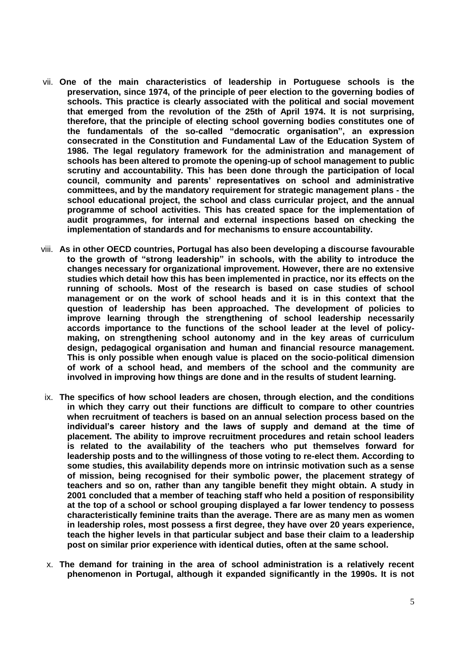- vii. **One of the main characteristics of leadership in Portuguese schools is the preservation, since 1974, of the principle of peer election to the governing bodies of schools. This practice is clearly associated with the political and social movement that emerged from the revolution of the 25th of April 1974. It is not surprising, therefore, that the principle of electing school governing bodies constitutes one of the fundamentals of the so-called "democratic organisation", an expression consecrated in the Constitution and Fundamental Law of the Education System of 1986. The legal regulatory framework for the administration and management of schools has been altered to promote the opening-up of school management to public scrutiny and accountability. This has been done through the participation of local council, community and parents" representatives on school and administrative committees, and by the mandatory requirement for strategic management plans - the school educational project, the school and class curricular project, and the annual programme of school activities. This has created space for the implementation of audit programmes, for internal and external inspections based on checking the implementation of standards and for mechanisms to ensure accountability.**
- viii. **As in other OECD countries, Portugal has also been developing a discourse favourable to the growth of "strong leadership" in schools, with the ability to introduce the changes necessary for organizational improvement. However, there are no extensive studies which detail how this has been implemented in practice, nor its effects on the running of schools. Most of the research is based on case studies of school management or on the work of school heads and it is in this context that the question of leadership has been approached. The development of policies to improve learning through the strengthening of school leadership necessarily accords importance to the functions of the school leader at the level of policymaking, on strengthening school autonomy and in the key areas of curriculum design, pedagogical organisation and human and financial resource management. This is only possible when enough value is placed on the socio-political dimension of work of a school head, and members of the school and the community are involved in improving how things are done and in the results of student learning.**
- ix. **The specifics of how school leaders are chosen, through election, and the conditions in which they carry out their functions are difficult to compare to other countries when recruitment of teachers is based on an annual selection process based on the individual"s career history and the laws of supply and demand at the time of placement. The ability to improve recruitment procedures and retain school leaders is related to the availability of the teachers who put themselves forward for leadership posts and to the willingness of those voting to re-elect them. According to some studies, this availability depends more on intrinsic motivation such as a sense of mission, being recognised for their symbolic power, the placement strategy of teachers and so on, rather than any tangible benefit they might obtain. A study in 2001 concluded that a member of teaching staff who held a position of responsibility at the top of a school or school grouping displayed a far lower tendency to possess characteristically feminine traits than the average. There are as many men as women in leadership roles, most possess a first degree, they have over 20 years experience, teach the higher levels in that particular subject and base their claim to a leadership post on similar prior experience with identical duties, often at the same school.**
- x. **The demand for training in the area of school administration is a relatively recent phenomenon in Portugal, although it expanded significantly in the 1990s. It is not**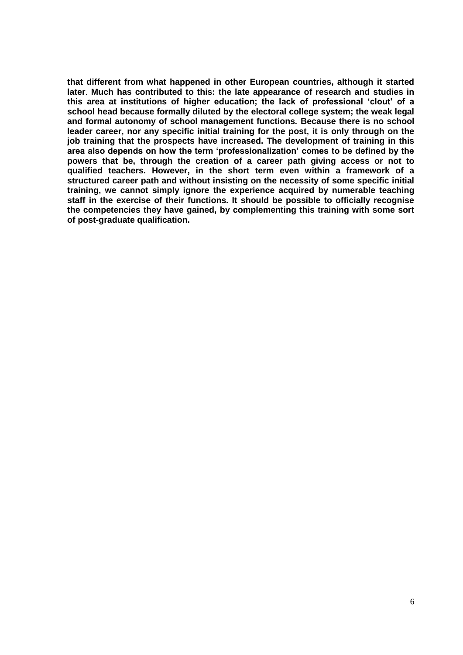**that different from what happened in other European countries, although it started later**. **Much has contributed to this: the late appearance of research and studies in this area at institutions of higher education; the lack of professional "clout" of a school head because formally diluted by the electoral college system; the weak legal and formal autonomy of school management functions***.* **Because there is no school leader career, nor any specific initial training for the post, it is only through on the job training that the prospects have increased. The development of training in this area also depends on how the term "professionalization" comes to be defined by the powers that be, through the creation of a career path giving access or not to qualified teachers. However, in the short term even within a framework of a structured career path and without insisting on the necessity of some specific initial training, we cannot simply ignore the experience acquired by numerable teaching staff in the exercise of their functions. It should be possible to officially recognise the competencies they have gained, by complementing this training with some sort of post-graduate qualification.**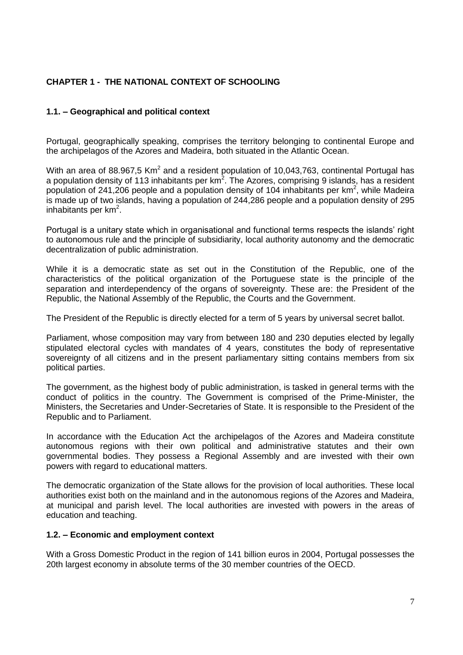# **CHAPTER 1 - THE NATIONAL CONTEXT OF SCHOOLING**

# **1.1. – Geographical and political context**

Portugal, geographically speaking, comprises the territory belonging to continental Europe and the archipelagos of the Azores and Madeira, both situated in the Atlantic Ocean.

With an area of 88.967,5 Km<sup>2</sup> and a resident population of 10,043,763, continental Portugal has a population density of 113 inhabitants per  $km^2$ . The Azores, comprising 9 islands, has a resident population of 241,206 people and a population density of 104 inhabitants per  $km^2$ , while Madeira is made up of two islands, having a population of 244,286 people and a population density of 295 inhabitants per km<sup>2</sup>.

Portugal is a unitary state which in organisational and functional terms respects the islands' right to autonomous rule and the principle of subsidiarity, local authority autonomy and the democratic decentralization of public administration.

While it is a democratic state as set out in the Constitution of the Republic, one of the characteristics of the political organization of the Portuguese state is the principle of the separation and interdependency of the organs of sovereignty. These are: the President of the Republic, the National Assembly of the Republic, the Courts and the Government.

The President of the Republic is directly elected for a term of 5 years by universal secret ballot.

Parliament, whose composition may vary from between 180 and 230 deputies elected by legally stipulated electoral cycles with mandates of 4 years, constitutes the body of representative sovereignty of all citizens and in the present parliamentary sitting contains members from six political parties.

The government, as the highest body of public administration, is tasked in general terms with the conduct of politics in the country. The Government is comprised of the Prime-Minister, the Ministers, the Secretaries and Under-Secretaries of State. It is responsible to the President of the Republic and to Parliament.

In accordance with the Education Act the archipelagos of the Azores and Madeira constitute autonomous regions with their own political and administrative statutes and their own governmental bodies. They possess a Regional Assembly and are invested with their own powers with regard to educational matters.

The democratic organization of the State allows for the provision of local authorities. These local authorities exist both on the mainland and in the autonomous regions of the Azores and Madeira, at municipal and parish level. The local authorities are invested with powers in the areas of education and teaching.

## **1.2. – Economic and employment context**

With a Gross Domestic Product in the region of 141 billion euros in 2004, Portugal possesses the 20th largest economy in absolute terms of the 30 member countries of the OECD.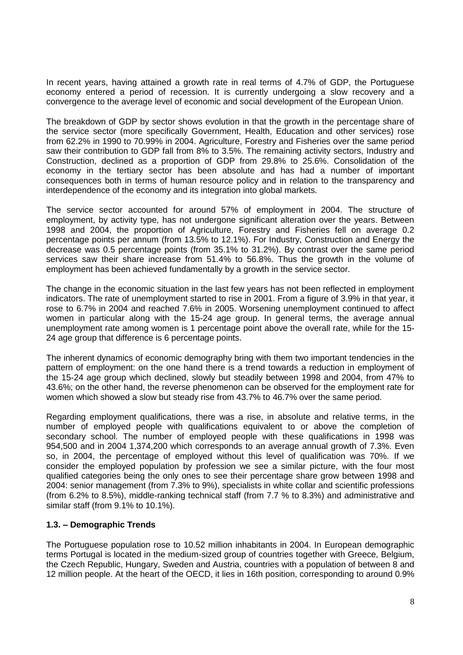In recent years, having attained a growth rate in real terms of 4.7% of GDP, the Portuguese economy entered a period of recession. It is currently undergoing a slow recovery and a convergence to the average level of economic and social development of the European Union.

The breakdown of GDP by sector shows evolution in that the growth in the percentage share of the service sector (more specifically Government, Health, Education and other services) rose from 62.2% in 1990 to 70.99% in 2004. Agriculture, Forestry and Fisheries over the same period saw their contribution to GDP fall from 8% to 3.5%. The remaining activity sectors, Industry and Construction, declined as a proportion of GDP from 29.8% to 25.6%. Consolidation of the economy in the tertiary sector has been absolute and has had a number of important consequences both in terms of human resource policy and in relation to the transparency and interdependence of the economy and its integration into global markets.

The service sector accounted for around 57% of employment in 2004. The structure of employment, by activity type, has not undergone significant alteration over the years. Between 1998 and 2004, the proportion of Agriculture, Forestry and Fisheries fell on average 0.2 percentage points per annum (from 13.5% to 12.1%). For Industry, Construction and Energy the decrease was 0.5 percentage points (from 35.1% to 31.2%). By contrast over the same period services saw their share increase from 51.4% to 56.8%. Thus the growth in the volume of employment has been achieved fundamentally by a growth in the service sector.

The change in the economic situation in the last few years has not been reflected in employment indicators. The rate of unemployment started to rise in 2001. From a figure of 3.9% in that year, it rose to 6.7% in 2004 and reached 7.6% in 2005. Worsening unemployment continued to affect women in particular along with the 15-24 age group. In general terms, the average annual unemployment rate among women is 1 percentage point above the overall rate, while for the 15- 24 age group that difference is 6 percentage points.

The inherent dynamics of economic demography bring with them two important tendencies in the pattern of employment: on the one hand there is a trend towards a reduction in employment of the 15-24 age group which declined, slowly but steadily between 1998 and 2004, from 47% to 43.6%; on the other hand, the reverse phenomenon can be observed for the employment rate for women which showed a slow but steady rise from 43.7% to 46.7% over the same period.

Regarding employment qualifications, there was a rise, in absolute and relative terms, in the number of employed people with qualifications equivalent to or above the completion of secondary school. The number of employed people with these qualifications in 1998 was 954,500 and in 2004 1,374,200 which corresponds to an average annual growth of 7.3%. Even so, in 2004, the percentage of employed without this level of qualification was 70%*.* If we consider the employed population by profession we see a similar picture, with the four most qualified categories being the only ones to see their percentage share grow between 1998 and 2004: senior management (from 7.3% to 9%), specialists in white collar and scientific professions (from 6.2% to 8.5%), middle-ranking technical staff (from 7.7 % to 8.3%) and administrative and similar staff (from 9.1% to 10.1%).

#### **1.3. – Demographic Trends**

The Portuguese population rose to 10.52 million inhabitants in 2004. In European demographic terms Portugal is located in the medium-sized group of countries together with Greece, Belgium, the Czech Republic, Hungary, Sweden and Austria, countries with a population of between 8 and 12 million people. At the heart of the OECD, it lies in 16th position, corresponding to around 0.9%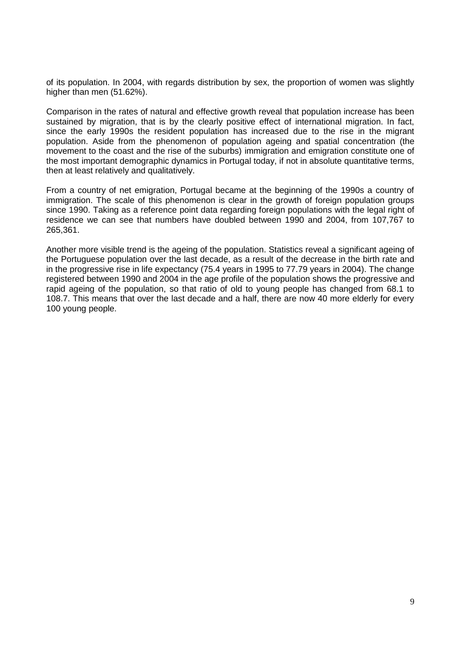of its population. In 2004, with regards distribution by sex, the proportion of women was slightly higher than men (51.62%).

Comparison in the rates of natural and effective growth reveal that population increase has been sustained by migration, that is by the clearly positive effect of international migration. In fact, since the early 1990s the resident population has increased due to the rise in the migrant population. Aside from the phenomenon of population ageing and spatial concentration (the movement to the coast and the rise of the suburbs) immigration and emigration constitute one of the most important demographic dynamics in Portugal today, if not in absolute quantitative terms, then at least relatively and qualitatively.

From a country of net emigration, Portugal became at the beginning of the 1990s a country of immigration. The scale of this phenomenon is clear in the growth of foreign population groups since 1990. Taking as a reference point data regarding foreign populations with the legal right of residence we can see that numbers have doubled between 1990 and 2004, from 107,767 to 265,361.

Another more visible trend is the ageing of the population. Statistics reveal a significant ageing of the Portuguese population over the last decade, as a result of the decrease in the birth rate and in the progressive rise in life expectancy (75.4 years in 1995 to 77.79 years in 2004). The change registered between 1990 and 2004 in the age profile of the population shows the progressive and rapid ageing of the population, so that ratio of old to young people has changed from 68.1 to 108.7. This means that over the last decade and a half, there are now 40 more elderly for every 100 young people.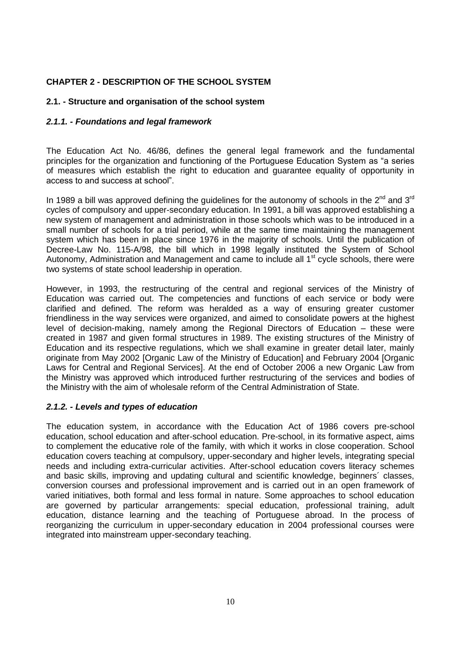# **CHAPTER 2 - DESCRIPTION OF THE SCHOOL SYSTEM**

## **2.1. - Structure and organisation of the school system**

### *2.1.1. - Foundations and legal framework*

The Education Act No. 46/86, defines the general legal framework and the fundamental principles for the organization and functioning of the Portuguese Education System as "a series of measures which establish the right to education and guarantee equality of opportunity in access to and success at school".

In 1989 a bill was approved defining the guidelines for the autonomy of schools in the  $2^{nd}$  and  $3^{rd}$ cycles of compulsory and upper-secondary education. In 1991, a bill was approved establishing a new system of management and administration in those schools which was to be introduced in a small number of schools for a trial period, while at the same time maintaining the management system which has been in place since 1976 in the majority of schools. Until the publication of Decree-Law No. 115-A/98, the bill which in 1998 legally instituted the System of School Autonomy, Administration and Management and came to include all  $1<sup>st</sup>$  cycle schools, there were two systems of state school leadership in operation.

However, in 1993, the restructuring of the central and regional services of the Ministry of Education was carried out. The competencies and functions of each service or body were clarified and defined. The reform was heralded as a way of ensuring greater customer friendliness in the way services were organized, and aimed to consolidate powers at the highest level of decision-making, namely among the Regional Directors of Education – these were created in 1987 and given formal structures in 1989. The existing structures of the Ministry of Education and its respective regulations, which we shall examine in greater detail later, mainly originate from May 2002 [Organic Law of the Ministry of Education] and February 2004 [Organic Laws for Central and Regional Services]. At the end of October 2006 a new Organic Law from the Ministry was approved which introduced further restructuring of the services and bodies of the Ministry with the aim of wholesale reform of the Central Administration of State.

## *2.1.2. - Levels and types of education*

The education system, in accordance with the Education Act of 1986 covers pre-school education, school education and after-school education. Pre-school, in its formative aspect, aims to complement the educative role of the family, with which it works in close cooperation. School education covers teaching at compulsory, upper-secondary and higher levels, integrating special needs and including extra-curricular activities. After-school education covers literacy schemes and basic skills, improving and updating cultural and scientific knowledge, beginners´ classes, conversion courses and professional improvement and is carried out in an open framework of varied initiatives, both formal and less formal in nature. Some approaches to school education are governed by particular arrangements: special education, professional training, adult education, distance learning and the teaching of Portuguese abroad. In the process of reorganizing the curriculum in upper-secondary education in 2004 professional courses were integrated into mainstream upper-secondary teaching.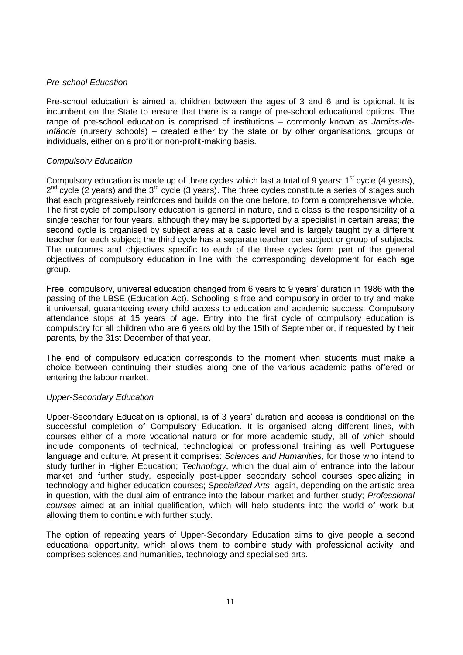#### *Pre-school Education*

Pre-school education is aimed at children between the ages of 3 and 6 and is optional. It is incumbent on the State to ensure that there is a range of pre-school educational options. The range of pre-school education is comprised of institutions – commonly known as *Jardins-de-Infância* (nursery schools) – created either by the state or by other organisations, groups or individuals, either on a profit or non-profit-making basis.

## *Compulsory Education*

Compulsory education is made up of three cycles which last a total of 9 years:  $1<sup>st</sup>$  cycle (4 years),  $2^{nd}$  cycle (2 years) and the  $3^{rd}$  cycle (3 years). The three cycles constitute a series of stages such that each progressively reinforces and builds on the one before, to form a comprehensive whole. The first cycle of compulsory education is general in nature, and a class is the responsibility of a single teacher for four years, although they may be supported by a specialist in certain areas; the second cycle is organised by subject areas at a basic level and is largely taught by a different teacher for each subject; the third cycle has a separate teacher per subject or group of subjects. The outcomes and objectives specific to each of the three cycles form part of the general objectives of compulsory education in line with the corresponding development for each age group.

Free, compulsory, universal education changed from 6 years to 9 years" duration in 1986 with the passing of the LBSE (Education Act). Schooling is free and compulsory in order to try and make it universal, guaranteeing every child access to education and academic success. Compulsory attendance stops at 15 years of age. Entry into the first cycle of compulsory education is compulsory for all children who are 6 years old by the 15th of September or, if requested by their parents, by the 31st December of that year.

The end of compulsory education corresponds to the moment when students must make a choice between continuing their studies along one of the various academic paths offered or entering the labour market.

## *Upper-Secondary Education*

Upper-Secondary Education is optional, is of 3 years" duration and access is conditional on the successful completion of Compulsory Education. It is organised along different lines, with courses either of a more vocational nature or for more academic study, all of which should include components of technical, technological or professional training as well Portuguese language and culture. At present it comprises: *Sciences and Humanities*, for those who intend to study further in Higher Education; *Technology*, which the dual aim of entrance into the labour market and further study, especially post-upper secondary school courses specializing in technology and higher education courses; S*pecialized Arts*, again, depending on the artistic area in question, with the dual aim of entrance into the labour market and further study; *Professional courses* aimed at an initial qualification, which will help students into the world of work but allowing them to continue with further study.

The option of repeating years of Upper-Secondary Education aims to give people a second educational opportunity, which allows them to combine study with professional activity, and comprises sciences and humanities, technology and specialised arts.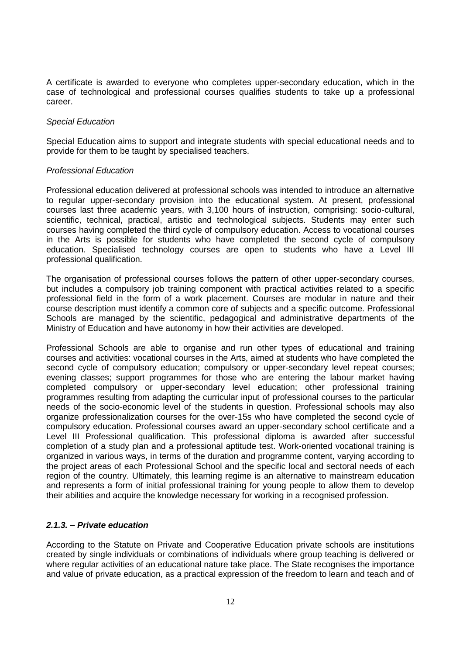A certificate is awarded to everyone who completes upper-secondary education, which in the case of technological and professional courses qualifies students to take up a professional career.

#### *Special Education*

Special Education aims to support and integrate students with special educational needs and to provide for them to be taught by specialised teachers.

#### *Professional Education*

Professional education delivered at professional schools was intended to introduce an alternative to regular upper-secondary provision into the educational system. At present, professional courses last three academic years, with 3,100 hours of instruction, comprising: socio-cultural, scientific, technical, practical, artistic and technological subjects. Students may enter such courses having completed the third cycle of compulsory education. Access to vocational courses in the Arts is possible for students who have completed the second cycle of compulsory education. Specialised technology courses are open to students who have a Level III professional qualification.

The organisation of professional courses follows the pattern of other upper-secondary courses, but includes a compulsory job training component with practical activities related to a specific professional field in the form of a work placement. Courses are modular in nature and their course description must identify a common core of subjects and a specific outcome. Professional Schools are managed by the scientific, pedagogical and administrative departments of the Ministry of Education and have autonomy in how their activities are developed.

Professional Schools are able to organise and run other types of educational and training courses and activities: vocational courses in the Arts, aimed at students who have completed the second cycle of compulsory education; compulsory or upper-secondary level repeat courses; evening classes; support programmes for those who are entering the labour market having completed compulsory or upper-secondary level education; other professional training programmes resulting from adapting the curricular input of professional courses to the particular needs of the socio-economic level of the students in question. Professional schools may also organize professionalization courses for the over-15s who have completed the second cycle of compulsory education. Professional courses award an upper-secondary school certificate and a Level III Professional qualification. This professional diploma is awarded after successful completion of a study plan and a professional aptitude test. Work-oriented vocational training is organized in various ways, in terms of the duration and programme content, varying according to the project areas of each Professional School and the specific local and sectoral needs of each region of the country. Ultimately, this learning regime is an alternative to mainstream education and represents a form of initial professional training for young people to allow them to develop their abilities and acquire the knowledge necessary for working in a recognised profession.

## *2.1.3. – Private education*

According to the Statute on Private and Cooperative Education private schools are institutions created by single individuals or combinations of individuals where group teaching is delivered or where regular activities of an educational nature take place. The State recognises the importance and value of private education, as a practical expression of the freedom to learn and teach and of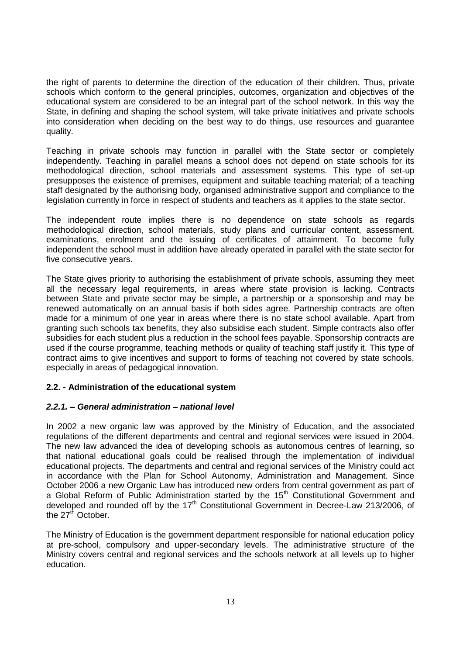the right of parents to determine the direction of the education of their children. Thus, private schools which conform to the general principles, outcomes, organization and objectives of the educational system are considered to be an integral part of the school network. In this way the State, in defining and shaping the school system, will take private initiatives and private schools into consideration when deciding on the best way to do things, use resources and guarantee quality.

Teaching in private schools may function in parallel with the State sector or completely independently. Teaching in parallel means a school does not depend on state schools for its methodological direction, school materials and assessment systems. This type of set-up presupposes the existence of premises, equipment and suitable teaching material; of a teaching staff designated by the authorising body, organised administrative support and compliance to the legislation currently in force in respect of students and teachers as it applies to the state sector.

The independent route implies there is no dependence on state schools as regards methodological direction, school materials, study plans and curricular content, assessment, examinations, enrolment and the issuing of certificates of attainment. To become fully independent the school must in addition have already operated in parallel with the state sector for five consecutive years.

The State gives priority to authorising the establishment of private schools, assuming they meet all the necessary legal requirements, in areas where state provision is lacking. Contracts between State and private sector may be simple, a partnership or a sponsorship and may be renewed automatically on an annual basis if both sides agree. Partnership contracts are often made for a minimum of one year in areas where there is no state school available. Apart from granting such schools tax benefits, they also subsidise each student. Simple contracts also offer subsidies for each student plus a reduction in the school fees payable. Sponsorship contracts are used if the course programme, teaching methods or quality of teaching staff justify it. This type of contract aims to give incentives and support to forms of teaching not covered by state schools, especially in areas of pedagogical innovation.

## **2.2. - Administration of the educational system**

## *2.2.1. – General administration – national level*

In 2002 a new organic law was approved by the Ministry of Education, and the associated regulations of the different departments and central and regional services were issued in 2004. The new law advanced the idea of developing schools as autonomous centres of learning, so that national educational goals could be realised through the implementation of individual educational projects. The departments and central and regional services of the Ministry could act in accordance with the Plan for School Autonomy, Administration and Management. Since October 2006 a new Organic Law has introduced new orders from central government as part of a Global Reform of Public Administration started by the 15<sup>th</sup> Constitutional Government and developed and rounded off by the  $17<sup>th</sup>$  Constitutional Government in Decree-Law 213/2006, of the 27<sup>th</sup> October.

The Ministry of Education is the government department responsible for national education policy at pre-school, compulsory and upper-secondary levels. The administrative structure of the Ministry covers central and regional services and the schools network at all levels up to higher education.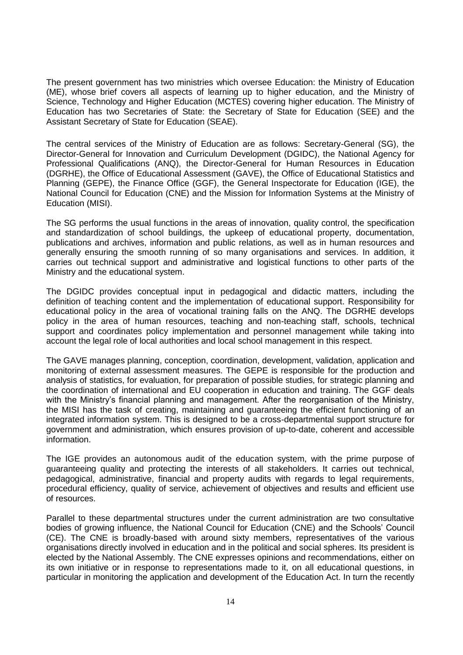The present government has two ministries which oversee Education: the Ministry of Education (ME), whose brief covers all aspects of learning up to higher education, and the Ministry of Science, Technology and Higher Education (MCTES) covering higher education. The Ministry of Education has two Secretaries of State: the Secretary of State for Education (SEE) and the Assistant Secretary of State for Education (SEAE).

The central services of the Ministry of Education are as follows: Secretary-General (SG), the Director-General for Innovation and Curriculum Development (DGIDC), the National Agency for Professional Qualifications (ANQ), the Director-General for Human Resources in Education (DGRHE), the Office of Educational Assessment (GAVE), the Office of Educational Statistics and Planning (GEPE), the Finance Office (GGF), the General Inspectorate for Education (IGE), the National Council for Education (CNE) and the Mission for Information Systems at the Ministry of Education (MISI).

The SG performs the usual functions in the areas of innovation, quality control, the specification and standardization of school buildings, the upkeep of educational property, documentation, publications and archives, information and public relations, as well as in human resources and generally ensuring the smooth running of so many organisations and services. In addition, it carries out technical support and administrative and logistical functions to other parts of the Ministry and the educational system.

The DGIDC provides conceptual input in pedagogical and didactic matters, including the definition of teaching content and the implementation of educational support. Responsibility for educational policy in the area of vocational training falls on the ANQ. The DGRHE develops policy in the area of human resources, teaching and non-teaching staff, schools, technical support and coordinates policy implementation and personnel management while taking into account the legal role of local authorities and local school management in this respect.

The GAVE manages planning, conception, coordination, development, validation, application and monitoring of external assessment measures. The GEPE is responsible for the production and analysis of statistics, for evaluation, for preparation of possible studies, for strategic planning and the coordination of international and EU cooperation in education and training. The GGF deals with the Ministry's financial planning and management. After the reorganisation of the Ministry, the MISI has the task of creating, maintaining and guaranteeing the efficient functioning of an integrated information system. This is designed to be a cross-departmental support structure for government and administration, which ensures provision of up-to-date, coherent and accessible information.

The IGE provides an autonomous audit of the education system, with the prime purpose of guaranteeing quality and protecting the interests of all stakeholders. It carries out technical, pedagogical, administrative, financial and property audits with regards to legal requirements, procedural efficiency, quality of service, achievement of objectives and results and efficient use of resources.

Parallel to these departmental structures under the current administration are two consultative bodies of growing influence, the National Council for Education (CNE) and the Schools" Council (CE). The CNE is broadly-based with around sixty members, representatives of the various organisations directly involved in education and in the political and social spheres. Its president is elected by the National Assembly. The CNE expresses opinions and recommendations, either on its own initiative or in response to representations made to it, on all educational questions, in particular in monitoring the application and development of the Education Act. In turn the recently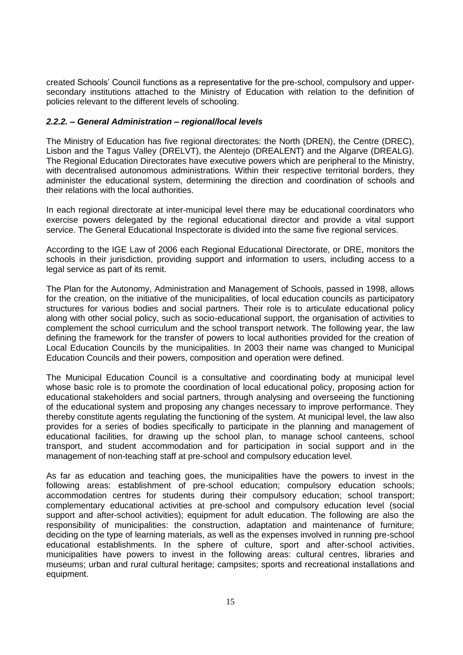created Schools" Council functions as a representative for the pre-school, compulsory and uppersecondary institutions attached to the Ministry of Education with relation to the definition of policies relevant to the different levels of schooling.

## *2.2.2. – General Administration – regional/local levels*

The Ministry of Education has five regional directorates: the North (DREN), the Centre (DREC), Lisbon and the Tagus Valley (DRELVT), the Alentejo (DREALENT) and the Algarve (DREALG). The Regional Education Directorates have executive powers which are peripheral to the Ministry, with decentralised autonomous administrations. Within their respective territorial borders, they administer the educational system, determining the direction and coordination of schools and their relations with the local authorities.

In each regional directorate at inter-municipal level there may be educational coordinators who exercise powers delegated by the regional educational director and provide a vital support service. The General Educational Inspectorate is divided into the same five regional services.

According to the IGE Law of 2006 each Regional Educational Directorate, or DRE, monitors the schools in their jurisdiction, providing support and information to users, including access to a legal service as part of its remit.

The Plan for the Autonomy, Administration and Management of Schools, passed in 1998, allows for the creation, on the initiative of the municipalities, of local education councils as participatory structures for various bodies and social partners. Their role is to articulate educational policy along with other social policy, such as socio-educational support, the organisation of activities to complement the school curriculum and the school transport network. The following year, the law defining the framework for the transfer of powers to local authorities provided for the creation of Local Education Councils by the municipalities. In 2003 their name was changed to Municipal Education Councils and their powers, composition and operation were defined.

The Municipal Education Council is a consultative and coordinating body at municipal level whose basic role is to promote the coordination of local educational policy, proposing action for educational stakeholders and social partners, through analysing and overseeing the functioning of the educational system and proposing any changes necessary to improve performance. They thereby constitute agents regulating the functioning of the system. At municipal level, the law also provides for a series of bodies specifically to participate in the planning and management of educational facilities, for drawing up the school plan, to manage school canteens, school transport, and student accommodation and for participation in social support and in the management of non-teaching staff at pre-school and compulsory education level.

As far as education and teaching goes, the municipalities have the powers to invest in the following areas: establishment of pre-school education; compulsory education schools; accommodation centres for students during their compulsory education; school transport; complementary educational activities at pre-school and compulsory education level (social support and after-school activities); equipment for adult education. The following are also the responsibility of municipalities: the construction, adaptation and maintenance of furniture; deciding on the type of learning materials, as well as the expenses involved in running pre-school educational establishments. In the sphere of culture, sport and after-school activities, municipalities have powers to invest in the following areas: cultural centres, libraries and museums; urban and rural cultural heritage; campsites; sports and recreational installations and equipment.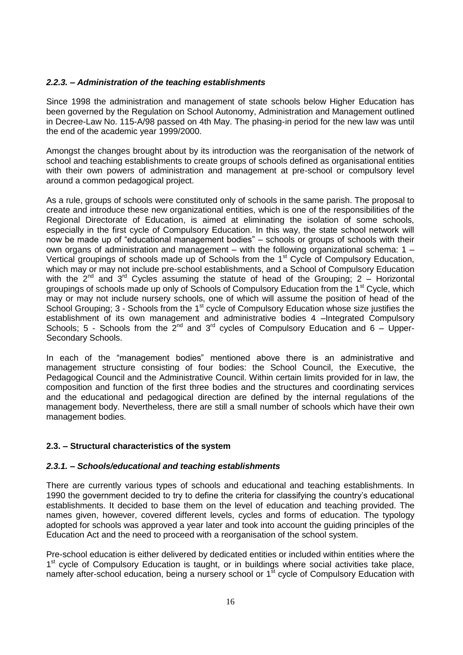## *2.2.3. – Administration of the teaching establishments*

Since 1998 the administration and management of state schools below Higher Education has been governed by the Regulation on School Autonomy, Administration and Management outlined in Decree-Law No. 115-A/98 passed on 4th May. The phasing-in period for the new law was until the end of the academic year 1999/2000.

Amongst the changes brought about by its introduction was the reorganisation of the network of school and teaching establishments to create groups of schools defined as organisational entities with their own powers of administration and management at pre-school or compulsory level around a common pedagogical project.

As a rule, groups of schools were constituted only of schools in the same parish. The proposal to create and introduce these new organizational entities, which is one of the responsibilities of the Regional Directorate of Education, is aimed at eliminating the isolation of some schools, especially in the first cycle of Compulsory Education. In this way, the state school network will now be made up of "educational management bodies" – schools or groups of schools with their own organs of administration and management – with the following organizational schema: 1 – Vertical groupings of schools made up of Schools from the 1<sup>st</sup> Cycle of Compulsory Education, which may or may not include pre-school establishments, and a School of Compulsory Education with the  $2^{nd}$  and  $3^{rd}$  Cycles assuming the statute of head of the Grouping: 2 – Horizontal groupings of schools made up only of Schools of Compulsory Education from the 1<sup>st</sup> Cycle, which may or may not include nursery schools, one of which will assume the position of head of the School Grouping; 3 - Schools from the 1<sup>st</sup> cycle of Compulsory Education whose size justifies the establishment of its own management and administrative bodies 4 –Integrated Compulsory Schools; 5 - Schools from the  $2^{nd}$  and  $3^{rd}$  cycles of Compulsory Education and 6 – Upper-Secondary Schools.

In each of the "management bodies" mentioned above there is an administrative and management structure consisting of four bodies: the School Council, the Executive, the Pedagogical Council and the Administrative Council. Within certain limits provided for in law, the composition and function of the first three bodies and the structures and coordinating services and the educational and pedagogical direction are defined by the internal regulations of the management body. Nevertheless, there are still a small number of schools which have their own management bodies.

## **2.3. – Structural characteristics of the system**

#### *2.3.1. – Schools/educational and teaching establishments*

There are currently various types of schools and educational and teaching establishments. In 1990 the government decided to try to define the criteria for classifying the country"s educational establishments. It decided to base them on the level of education and teaching provided. The names given, however, covered different levels, cycles and forms of education. The typology adopted for schools was approved a year later and took into account the guiding principles of the Education Act and the need to proceed with a reorganisation of the school system.

Pre-school education is either delivered by dedicated entities or included within entities where the 1<sup>st</sup> cycle of Compulsory Education is taught, or in buildings where social activities take place, namely after-school education, being a nursery school or  $1<sup>st</sup>$  cycle of Compulsory Education with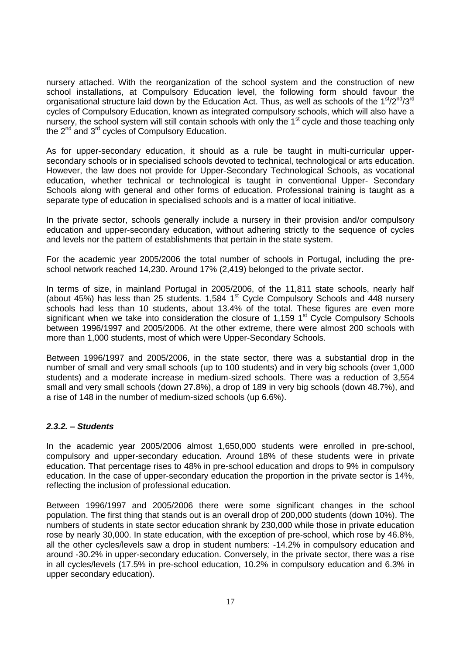nursery attached. With the reorganization of the school system and the construction of new school installations, at Compulsory Education level, the following form should favour the organisational structure laid down by the Education Act. Thus, as well as schools of the  $1<sup>st</sup>/2<sup>nd</sup>/3<sup>rd</sup>$ cycles of Compulsory Education, known as integrated compulsory schools, which will also have a nursery, the school system will still contain schools with only the 1<sup>st</sup> cycle and those teaching only the  $2^{nd}$  and  $3^{rd}$  cycles of Compulsory Education.

As for upper-secondary education, it should as a rule be taught in multi-curricular uppersecondary schools or in specialised schools devoted to technical, technological or arts education. However, the law does not provide for Upper-Secondary Technological Schools, as vocational education, whether technical or technological is taught in conventional Upper- Secondary Schools along with general and other forms of education. Professional training is taught as a separate type of education in specialised schools and is a matter of local initiative.

In the private sector, schools generally include a nursery in their provision and/or compulsory education and upper-secondary education, without adhering strictly to the sequence of cycles and levels nor the pattern of establishments that pertain in the state system.

For the academic year 2005/2006 the total number of schools in Portugal, including the preschool network reached 14,230. Around 17% (2,419) belonged to the private sector.

In terms of size, in mainland Portugal in 2005/2006, of the 11,811 state schools, nearly half (about 45%) has less than 25 students. 1,584  $1<sup>st</sup>$  Cycle Compulsory Schools and 448 nursery schools had less than 10 students, about 13.4% of the total. These figures are even more significant when we take into consideration the closure of 1,159  $1<sup>st</sup>$  Cycle Compulsory Schools between 1996/1997 and 2005/2006. At the other extreme, there were almost 200 schools with more than 1,000 students, most of which were Upper-Secondary Schools.

Between 1996/1997 and 2005/2006, in the state sector, there was a substantial drop in the number of small and very small schools (up to 100 students) and in very big schools (over 1,000 students) and a moderate increase in medium-sized schools. There was a reduction of 3,554 small and very small schools (down 27.8%), a drop of 189 in very big schools (down 48.7%), and a rise of 148 in the number of medium-sized schools (up 6.6%).

## *2.3.2. – Students*

In the academic year 2005/2006 almost 1,650,000 students were enrolled in pre-school, compulsory and upper-secondary education. Around 18% of these students were in private education. That percentage rises to 48% in pre-school education and drops to 9% in compulsory education. In the case of upper-secondary education the proportion in the private sector is 14%, reflecting the inclusion of professional education.

Between 1996/1997 and 2005/2006 there were some significant changes in the school population. The first thing that stands out is an overall drop of 200,000 students (down 10%). The numbers of students in state sector education shrank by 230,000 while those in private education rose by nearly 30,000. In state education, with the exception of pre-school, which rose by 46.8%, all the other cycles/levels saw a drop in student numbers: -14.2% in compulsory education and around -30.2% in upper-secondary education. Conversely, in the private sector, there was a rise in all cycles/levels (17.5% in pre-school education, 10.2% in compulsory education and 6.3% in upper secondary education).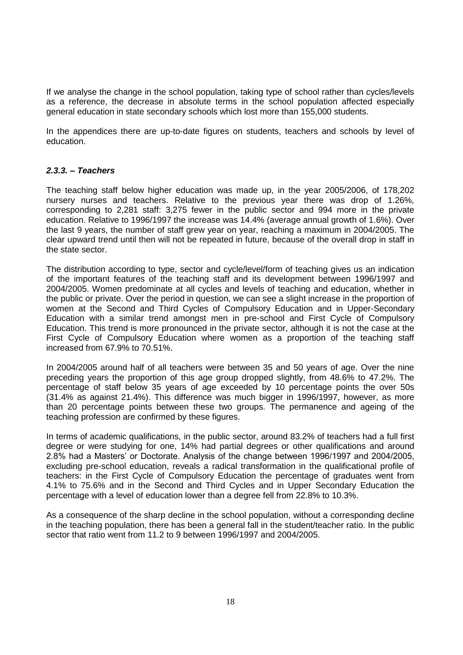If we analyse the change in the school population, taking type of school rather than cycles/levels as a reference, the decrease in absolute terms in the school population affected especially general education in state secondary schools which lost more than 155,000 students.

In the appendices there are up-to-date figures on students, teachers and schools by level of education.

### *2.3.3. – Teachers*

The teaching staff below higher education was made up, in the year 2005/2006, of 178,202 nursery nurses and teachers. Relative to the previous year there was drop of 1.26%, corresponding to 2,281 staff: 3,275 fewer in the public sector and 994 more in the private education. Relative to 1996/1997 the increase was 14.4% (average annual growth of 1.6%). Over the last 9 years, the number of staff grew year on year, reaching a maximum in 2004/2005. The clear upward trend until then will not be repeated in future, because of the overall drop in staff in the state sector.

The distribution according to type, sector and cycle/level/form of teaching gives us an indication of the important features of the teaching staff and its development between 1996/1997 and 2004/2005. Women predominate at all cycles and levels of teaching and education, whether in the public or private. Over the period in question, we can see a slight increase in the proportion of women at the Second and Third Cycles of Compulsory Education and in Upper-Secondary Education with a similar trend amongst men in pre-school and First Cycle of Compulsory Education. This trend is more pronounced in the private sector, although it is not the case at the First Cycle of Compulsory Education where women as a proportion of the teaching staff increased from 67.9% to 70.51%.

In 2004/2005 around half of all teachers were between 35 and 50 years of age. Over the nine preceding years the proportion of this age group dropped slightly, from 48.6% to 47.2%. The percentage of staff below 35 years of age exceeded by 10 percentage points the over 50s (31.4% as against 21.4%). This difference was much bigger in 1996/1997, however, as more than 20 percentage points between these two groups. The permanence and ageing of the teaching profession are confirmed by these figures.

In terms of academic qualifications, in the public sector, around 83.2% of teachers had a full first degree or were studying for one, 14% had partial degrees or other qualifications and around 2.8% had a Masters" or Doctorate. Analysis of the change between 1996/1997 and 2004/2005, excluding pre-school education, reveals a radical transformation in the qualificational profile of teachers: in the First Cycle of Compulsory Education the percentage of graduates went from 4.1% to 75.6% and in the Second and Third Cycles and in Upper Secondary Education the percentage with a level of education lower than a degree fell from 22.8% to 10.3%.

As a consequence of the sharp decline in the school population, without a corresponding decline in the teaching population, there has been a general fall in the student/teacher ratio. In the public sector that ratio went from 11.2 to 9 between 1996/1997 and 2004/2005.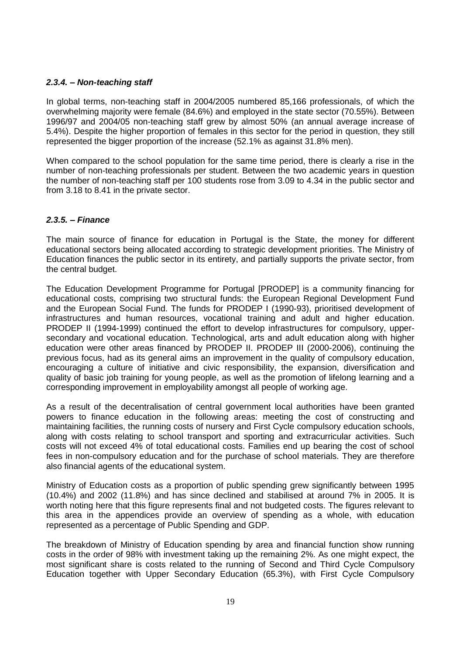## *2.3.4. – Non-teaching staff*

In global terms, non-teaching staff in 2004/2005 numbered 85,166 professionals, of which the overwhelming majority were female (84.6%) and employed in the state sector (70.55%). Between 1996/97 and 2004/05 non-teaching staff grew by almost 50% (an annual average increase of 5.4%). Despite the higher proportion of females in this sector for the period in question, they still represented the bigger proportion of the increase (52.1% as against 31.8% men).

When compared to the school population for the same time period, there is clearly a rise in the number of non-teaching professionals per student. Between the two academic years in question the number of non-teaching staff per 100 students rose from 3.09 to 4.34 in the public sector and from 3.18 to 8.41 in the private sector.

## *2.3.5. – Finance*

The main source of finance for education in Portugal is the State, the money for different educational sectors being allocated according to strategic development priorities. The Ministry of Education finances the public sector in its entirety, and partially supports the private sector, from the central budget.

The Education Development Programme for Portugal [PRODEP] is a community financing for educational costs, comprising two structural funds: the European Regional Development Fund and the European Social Fund. The funds for PRODEP I (1990-93), prioritised development of infrastructures and human resources, vocational training and adult and higher education. PRODEP II (1994-1999) continued the effort to develop infrastructures for compulsory, uppersecondary and vocational education. Technological, arts and adult education along with higher education were other areas financed by PRODEP II. PRODEP III (2000-2006), continuing the previous focus, had as its general aims an improvement in the quality of compulsory education, encouraging a culture of initiative and civic responsibility, the expansion, diversification and quality of basic job training for young people, as well as the promotion of lifelong learning and a corresponding improvement in employability amongst all people of working age.

As a result of the decentralisation of central government local authorities have been granted powers to finance education in the following areas: meeting the cost of constructing and maintaining facilities, the running costs of nursery and First Cycle compulsory education schools, along with costs relating to school transport and sporting and extracurricular activities. Such costs will not exceed 4% of total educational costs. Families end up bearing the cost of school fees in non-compulsory education and for the purchase of school materials. They are therefore also financial agents of the educational system.

Ministry of Education costs as a proportion of public spending grew significantly between 1995 (10.4%) and 2002 (11.8%) and has since declined and stabilised at around 7% in 2005. It is worth noting here that this figure represents final and not budgeted costs. The figures relevant to this area in the appendices provide an overview of spending as a whole, with education represented as a percentage of Public Spending and GDP.

The breakdown of Ministry of Education spending by area and financial function show running costs in the order of 98% with investment taking up the remaining 2%. As one might expect, the most significant share is costs related to the running of Second and Third Cycle Compulsory Education together with Upper Secondary Education (65.3%), with First Cycle Compulsory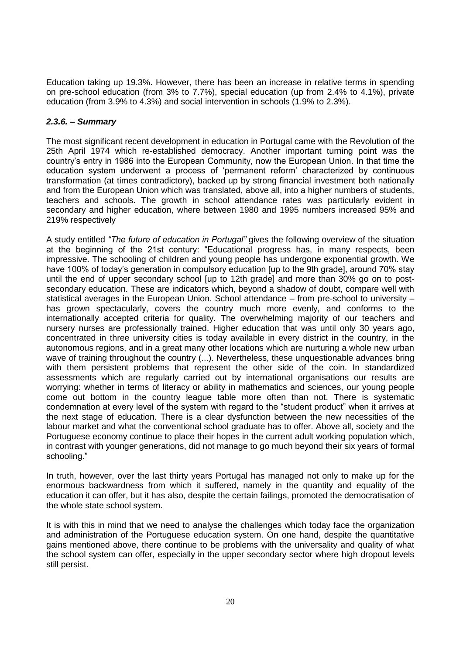Education taking up 19.3%. However, there has been an increase in relative terms in spending on pre-school education (from 3% to 7.7%), special education (up from 2.4% to 4.1%), private education (from 3.9% to 4.3%) and social intervention in schools (1.9% to 2.3%).

# *2.3.6. – Summary*

The most significant recent development in education in Portugal came with the Revolution of the 25th April 1974 which re-established democracy. Another important turning point was the country"s entry in 1986 into the European Community, now the European Union. In that time the education system underwent a process of "permanent reform" characterized by continuous transformation (at times contradictory), backed up by strong financial investment both nationally and from the European Union which was translated, above all, into a higher numbers of students, teachers and schools. The growth in school attendance rates was particularly evident in secondary and higher education, where between 1980 and 1995 numbers increased 95% and 219% respectively

A study entitled *"The future of education in Portugal"* gives the following overview of the situation at the beginning of the 21st century: "Educational progress has, in many respects, been impressive. The schooling of children and young people has undergone exponential growth. We have 100% of today's generation in compulsory education [up to the 9th grade], around 70% stay until the end of upper secondary school [up to 12th grade] and more than 30% go on to postsecondary education. These are indicators which, beyond a shadow of doubt, compare well with statistical averages in the European Union. School attendance – from pre-school to university – has grown spectacularly, covers the country much more evenly, and conforms to the internationally accepted criteria for quality. The overwhelming majority of our teachers and nursery nurses are professionally trained. Higher education that was until only 30 years ago, concentrated in three university cities is today available in every district in the country, in the autonomous regions, and in a great many other locations which are nurturing a whole new urban wave of training throughout the country (...). Nevertheless, these unquestionable advances bring with them persistent problems that represent the other side of the coin. In standardized assessments which are regularly carried out by international organisations our results are worrying: whether in terms of literacy or ability in mathematics and sciences, our young people come out bottom in the country league table more often than not. There is systematic condemnation at every level of the system with regard to the "student product" when it arrives at the next stage of education. There is a clear dysfunction between the new necessities of the labour market and what the conventional school graduate has to offer. Above all, society and the Portuguese economy continue to place their hopes in the current adult working population which, in contrast with younger generations, did not manage to go much beyond their six years of formal schooling."

In truth, however, over the last thirty years Portugal has managed not only to make up for the enormous backwardness from which it suffered, namely in the quantity and equality of the education it can offer, but it has also, despite the certain failings, promoted the democratisation of the whole state school system.

It is with this in mind that we need to analyse the challenges which today face the organization and administration of the Portuguese education system. On one hand, despite the quantitative gains mentioned above, there continue to be problems with the universality and quality of what the school system can offer, especially in the upper secondary sector where high dropout levels still persist.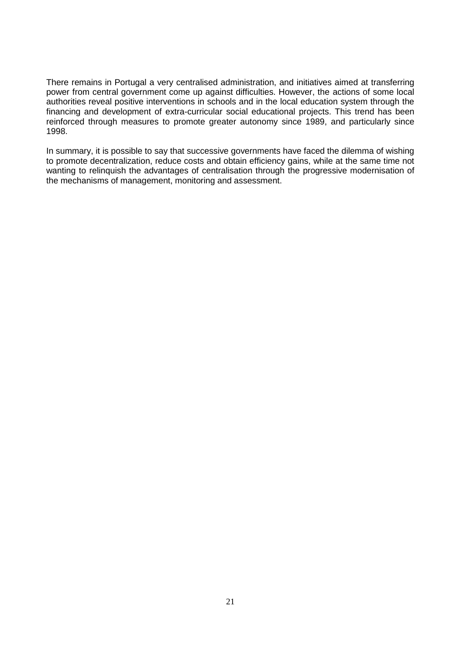There remains in Portugal a very centralised administration, and initiatives aimed at transferring power from central government come up against difficulties. However, the actions of some local authorities reveal positive interventions in schools and in the local education system through the financing and development of extra-curricular social educational projects. This trend has been reinforced through measures to promote greater autonomy since 1989, and particularly since 1998.

In summary, it is possible to say that successive governments have faced the dilemma of wishing to promote decentralization, reduce costs and obtain efficiency gains, while at the same time not wanting to relinquish the advantages of centralisation through the progressive modernisation of the mechanisms of management, monitoring and assessment.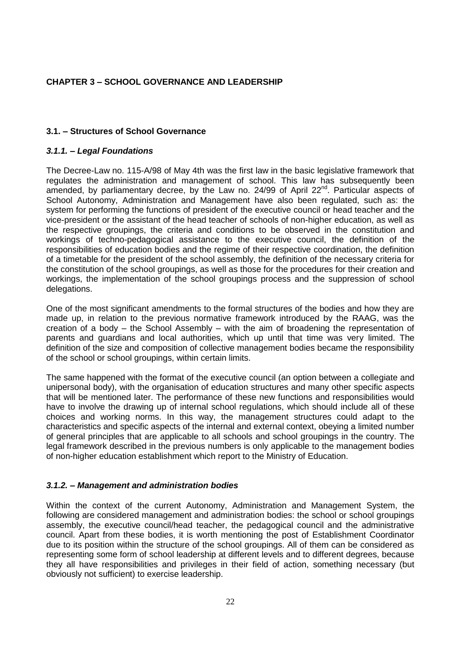## **CHAPTER 3 – SCHOOL GOVERNANCE AND LEADERSHIP**

#### **3.1. – Structures of School Governance**

#### *3.1.1. – Legal Foundations*

The Decree-Law no. 115-A/98 of May 4th was the first law in the basic legislative framework that regulates the administration and management of school. This law has subsequently been amended, by parliamentary decree, by the Law no.  $24/99$  of April  $22<sup>nd</sup>$ . Particular aspects of School Autonomy, Administration and Management have also been regulated, such as: the system for performing the functions of president of the executive council or head teacher and the vice-president or the assistant of the head teacher of schools of non-higher education, as well as the respective groupings, the criteria and conditions to be observed in the constitution and workings of techno-pedagogical assistance to the executive council, the definition of the responsibilities of education bodies and the regime of their respective coordination, the definition of a timetable for the president of the school assembly, the definition of the necessary criteria for the constitution of the school groupings, as well as those for the procedures for their creation and workings, the implementation of the school groupings process and the suppression of school delegations.

One of the most significant amendments to the formal structures of the bodies and how they are made up, in relation to the previous normative framework introduced by the RAAG, was the creation of a body – the School Assembly – with the aim of broadening the representation of parents and guardians and local authorities, which up until that time was very limited. The definition of the size and composition of collective management bodies became the responsibility of the school or school groupings, within certain limits.

The same happened with the format of the executive council (an option between a collegiate and unipersonal body), with the organisation of education structures and many other specific aspects that will be mentioned later. The performance of these new functions and responsibilities would have to involve the drawing up of internal school regulations, which should include all of these choices and working norms. In this way, the management structures could adapt to the characteristics and specific aspects of the internal and external context, obeying a limited number of general principles that are applicable to all schools and school groupings in the country. The legal framework described in the previous numbers is only applicable to the management bodies of non-higher education establishment which report to the Ministry of Education.

#### *3.1.2. – Management and administration bodies*

Within the context of the current Autonomy, Administration and Management System, the following are considered management and administration bodies: the school or school groupings assembly, the executive council/head teacher, the pedagogical council and the administrative council. Apart from these bodies, it is worth mentioning the post of Establishment Coordinator due to its position within the structure of the school groupings. All of them can be considered as representing some form of school leadership at different levels and to different degrees, because they all have responsibilities and privileges in their field of action, something necessary (but obviously not sufficient) to exercise leadership.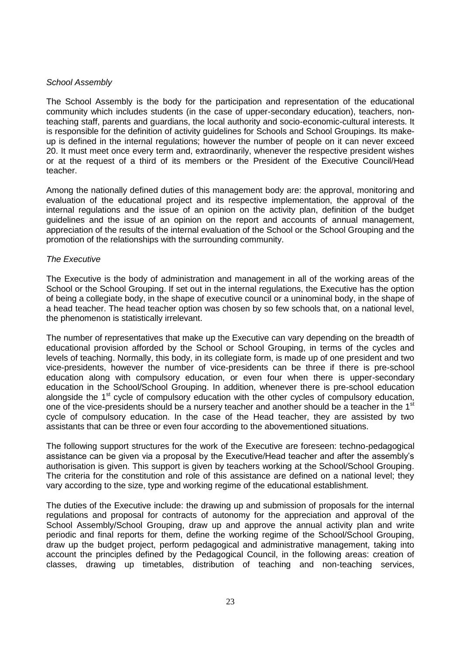#### *School Assembly*

The School Assembly is the body for the participation and representation of the educational community which includes students (in the case of upper-secondary education), teachers, nonteaching staff, parents and guardians, the local authority and socio-economic-cultural interests. It is responsible for the definition of activity guidelines for Schools and School Groupings. Its makeup is defined in the internal regulations; however the number of people on it can never exceed 20. It must meet once every term and, extraordinarily, whenever the respective president wishes or at the request of a third of its members or the President of the Executive Council/Head teacher.

Among the nationally defined duties of this management body are: the approval, monitoring and evaluation of the educational project and its respective implementation, the approval of the internal regulations and the issue of an opinion on the activity plan, definition of the budget guidelines and the issue of an opinion on the report and accounts of annual management, appreciation of the results of the internal evaluation of the School or the School Grouping and the promotion of the relationships with the surrounding community.

### *The Executive*

The Executive is the body of administration and management in all of the working areas of the School or the School Grouping. If set out in the internal regulations, the Executive has the option of being a collegiate body, in the shape of executive council or a uninominal body, in the shape of a head teacher. The head teacher option was chosen by so few schools that, on a national level, the phenomenon is statistically irrelevant.

The number of representatives that make up the Executive can vary depending on the breadth of educational provision afforded by the School or School Grouping, in terms of the cycles and levels of teaching. Normally, this body, in its collegiate form, is made up of one president and two vice-presidents, however the number of vice-presidents can be three if there is pre-school education along with compulsory education, or even four when there is upper-secondary education in the School/School Grouping. In addition, whenever there is pre-school education alongside the 1<sup>st</sup> cycle of compulsory education with the other cycles of compulsory education, one of the vice-presidents should be a nursery teacher and another should be a teacher in the 1<sup>st</sup> cycle of compulsory education. In the case of the Head teacher, they are assisted by two assistants that can be three or even four according to the abovementioned situations.

The following support structures for the work of the Executive are foreseen: techno-pedagogical assistance can be given via a proposal by the Executive/Head teacher and after the assembly"s authorisation is given. This support is given by teachers working at the School/School Grouping. The criteria for the constitution and role of this assistance are defined on a national level; they vary according to the size, type and working regime of the educational establishment.

The duties of the Executive include: the drawing up and submission of proposals for the internal regulations and proposal for contracts of autonomy for the appreciation and approval of the School Assembly/School Grouping, draw up and approve the annual activity plan and write periodic and final reports for them, define the working regime of the School/School Grouping, draw up the budget project, perform pedagogical and administrative management, taking into account the principles defined by the Pedagogical Council, in the following areas: creation of classes, drawing up timetables, distribution of teaching and non-teaching services,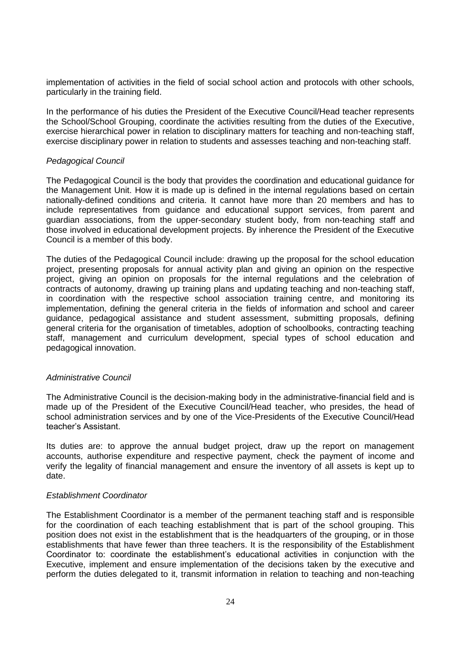implementation of activities in the field of social school action and protocols with other schools, particularly in the training field.

In the performance of his duties the President of the Executive Council/Head teacher represents the School/School Grouping, coordinate the activities resulting from the duties of the Executive, exercise hierarchical power in relation to disciplinary matters for teaching and non-teaching staff, exercise disciplinary power in relation to students and assesses teaching and non-teaching staff.

#### *Pedagogical Council*

The Pedagogical Council is the body that provides the coordination and educational guidance for the Management Unit. How it is made up is defined in the internal regulations based on certain nationally-defined conditions and criteria. It cannot have more than 20 members and has to include representatives from guidance and educational support services, from parent and guardian associations, from the upper-secondary student body, from non-teaching staff and those involved in educational development projects. By inherence the President of the Executive Council is a member of this body.

The duties of the Pedagogical Council include: drawing up the proposal for the school education project, presenting proposals for annual activity plan and giving an opinion on the respective project, giving an opinion on proposals for the internal regulations and the celebration of contracts of autonomy, drawing up training plans and updating teaching and non-teaching staff, in coordination with the respective school association training centre, and monitoring its implementation, defining the general criteria in the fields of information and school and career guidance, pedagogical assistance and student assessment, submitting proposals, defining general criteria for the organisation of timetables, adoption of schoolbooks, contracting teaching staff, management and curriculum development, special types of school education and pedagogical innovation.

#### *Administrative Council*

The Administrative Council is the decision-making body in the administrative-financial field and is made up of the President of the Executive Council/Head teacher, who presides, the head of school administration services and by one of the Vice-Presidents of the Executive Council/Head teacher"s Assistant.

Its duties are: to approve the annual budget project, draw up the report on management accounts, authorise expenditure and respective payment, check the payment of income and verify the legality of financial management and ensure the inventory of all assets is kept up to date.

#### *Establishment Coordinator*

The Establishment Coordinator is a member of the permanent teaching staff and is responsible for the coordination of each teaching establishment that is part of the school grouping. This position does not exist in the establishment that is the headquarters of the grouping, or in those establishments that have fewer than three teachers. It is the responsibility of the Establishment Coordinator to: coordinate the establishment"s educational activities in conjunction with the Executive, implement and ensure implementation of the decisions taken by the executive and perform the duties delegated to it, transmit information in relation to teaching and non-teaching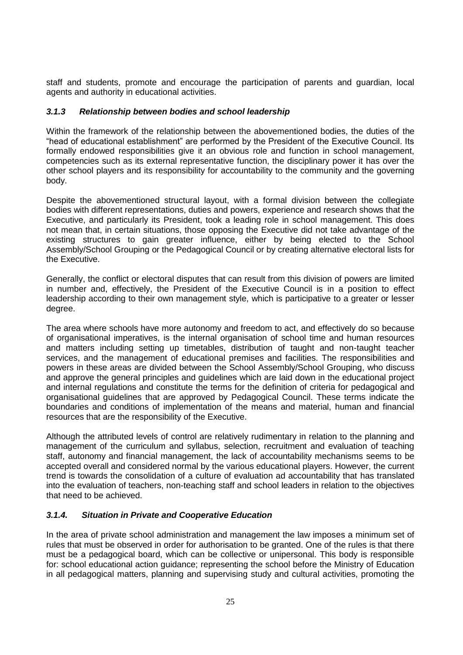staff and students, promote and encourage the participation of parents and guardian, local agents and authority in educational activities.

# *3.1.3 Relationship between bodies and school leadership*

Within the framework of the relationship between the abovementioned bodies, the duties of the "head of educational establishment" are performed by the President of the Executive Council. Its formally endowed responsibilities give it an obvious role and function in school management, competencies such as its external representative function, the disciplinary power it has over the other school players and its responsibility for accountability to the community and the governing body.

Despite the abovementioned structural layout, with a formal division between the collegiate bodies with different representations, duties and powers, experience and research shows that the Executive, and particularly its President, took a leading role in school management. This does not mean that, in certain situations, those opposing the Executive did not take advantage of the existing structures to gain greater influence, either by being elected to the School Assembly/School Grouping or the Pedagogical Council or by creating alternative electoral lists for the Executive.

Generally, the conflict or electoral disputes that can result from this division of powers are limited in number and, effectively, the President of the Executive Council is in a position to effect leadership according to their own management style, which is participative to a greater or lesser degree.

The area where schools have more autonomy and freedom to act, and effectively do so because of organisational imperatives, is the internal organisation of school time and human resources and matters including setting up timetables, distribution of taught and non-taught teacher services, and the management of educational premises and facilities. The responsibilities and powers in these areas are divided between the School Assembly/School Grouping, who discuss and approve the general principles and guidelines which are laid down in the educational project and internal regulations and constitute the terms for the definition of criteria for pedagogical and organisational guidelines that are approved by Pedagogical Council. These terms indicate the boundaries and conditions of implementation of the means and material, human and financial resources that are the responsibility of the Executive.

Although the attributed levels of control are relatively rudimentary in relation to the planning and management of the curriculum and syllabus, selection, recruitment and evaluation of teaching staff, autonomy and financial management, the lack of accountability mechanisms seems to be accepted overall and considered normal by the various educational players. However, the current trend is towards the consolidation of a culture of evaluation ad accountability that has translated into the evaluation of teachers, non-teaching staff and school leaders in relation to the objectives that need to be achieved.

## *3.1.4. Situation in Private and Cooperative Education*

In the area of private school administration and management the law imposes a minimum set of rules that must be observed in order for authorisation to be granted. One of the rules is that there must be a pedagogical board, which can be collective or unipersonal. This body is responsible for: school educational action guidance; representing the school before the Ministry of Education in all pedagogical matters, planning and supervising study and cultural activities, promoting the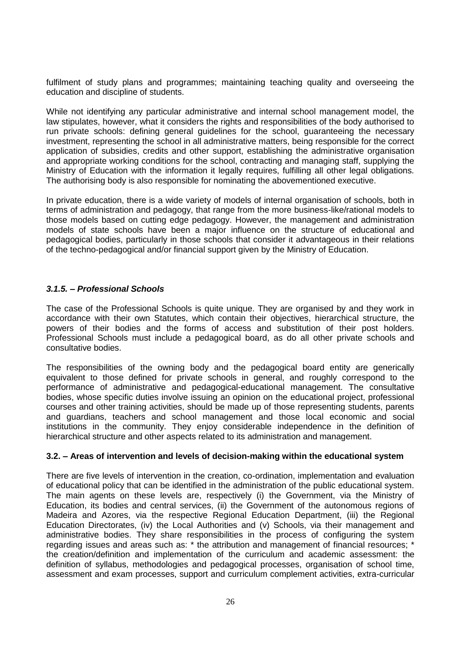fulfilment of study plans and programmes; maintaining teaching quality and overseeing the education and discipline of students.

While not identifying any particular administrative and internal school management model, the law stipulates, however, what it considers the rights and responsibilities of the body authorised to run private schools: defining general guidelines for the school, guaranteeing the necessary investment, representing the school in all administrative matters, being responsible for the correct application of subsidies, credits and other support, establishing the administrative organisation and appropriate working conditions for the school, contracting and managing staff, supplying the Ministry of Education with the information it legally requires, fulfilling all other legal obligations. The authorising body is also responsible for nominating the abovementioned executive.

In private education, there is a wide variety of models of internal organisation of schools, both in terms of administration and pedagogy, that range from the more business-like/rational models to those models based on cutting edge pedagogy. However, the management and administration models of state schools have been a major influence on the structure of educational and pedagogical bodies, particularly in those schools that consider it advantageous in their relations of the techno-pedagogical and/or financial support given by the Ministry of Education.

### *3.1.5. – Professional Schools*

The case of the Professional Schools is quite unique. They are organised by and they work in accordance with their own Statutes, which contain their objectives, hierarchical structure, the powers of their bodies and the forms of access and substitution of their post holders. Professional Schools must include a pedagogical board, as do all other private schools and consultative bodies.

The responsibilities of the owning body and the pedagogical board entity are generically equivalent to those defined for private schools in general, and roughly correspond to the performance of administrative and pedagogical-educational management. The consultative bodies, whose specific duties involve issuing an opinion on the educational project, professional courses and other training activities, should be made up of those representing students, parents and guardians, teachers and school management and those local economic and social institutions in the community. They enjoy considerable independence in the definition of hierarchical structure and other aspects related to its administration and management.

#### **3.2. – Areas of intervention and levels of decision-making within the educational system**

There are five levels of intervention in the creation, co-ordination, implementation and evaluation of educational policy that can be identified in the administration of the public educational system. The main agents on these levels are, respectively (i) the Government, via the Ministry of Education, its bodies and central services, (ii) the Government of the autonomous regions of Madeira and Azores, via the respective Regional Education Department, (iii) the Regional Education Directorates, (iv) the Local Authorities and (v) Schools, via their management and administrative bodies. They share responsibilities in the process of configuring the system regarding issues and areas such as: \* the attribution and management of financial resources; \* the creation/definition and implementation of the curriculum and academic assessment: the definition of syllabus, methodologies and pedagogical processes, organisation of school time, assessment and exam processes, support and curriculum complement activities, extra-curricular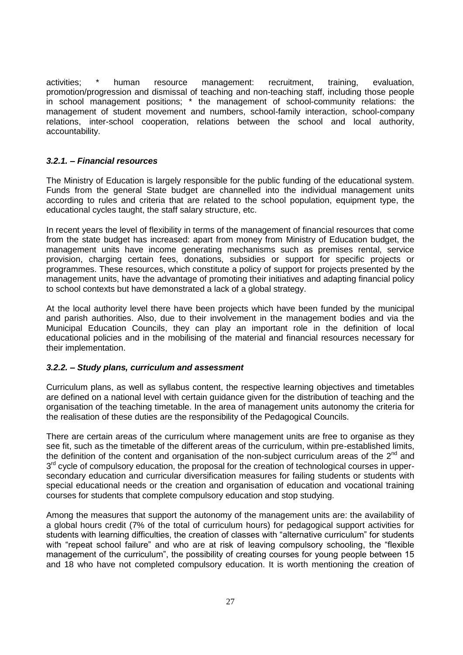activities; \* human resource management: recruitment, training, evaluation, promotion/progression and dismissal of teaching and non-teaching staff, including those people in school management positions; \* the management of school-community relations: the management of student movement and numbers, school-family interaction, school-company relations, inter-school cooperation, relations between the school and local authority, accountability.

## *3.2.1. – Financial resources*

The Ministry of Education is largely responsible for the public funding of the educational system. Funds from the general State budget are channelled into the individual management units according to rules and criteria that are related to the school population, equipment type, the educational cycles taught, the staff salary structure, etc.

In recent years the level of flexibility in terms of the management of financial resources that come from the state budget has increased: apart from money from Ministry of Education budget, the management units have income generating mechanisms such as premises rental, service provision, charging certain fees, donations, subsidies or support for specific projects or programmes. These resources, which constitute a policy of support for projects presented by the management units, have the advantage of promoting their initiatives and adapting financial policy to school contexts but have demonstrated a lack of a global strategy.

At the local authority level there have been projects which have been funded by the municipal and parish authorities. Also, due to their involvement in the management bodies and via the Municipal Education Councils, they can play an important role in the definition of local educational policies and in the mobilising of the material and financial resources necessary for their implementation.

## *3.2.2. – Study plans, curriculum and assessment*

Curriculum plans, as well as syllabus content, the respective learning objectives and timetables are defined on a national level with certain guidance given for the distribution of teaching and the organisation of the teaching timetable. In the area of management units autonomy the criteria for the realisation of these duties are the responsibility of the Pedagogical Councils.

There are certain areas of the curriculum where management units are free to organise as they see fit, such as the timetable of the different areas of the curriculum, within pre-established limits, the definition of the content and organisation of the non-subject curriculum areas of the  $2<sup>nd</sup>$  and 3<sup>rd</sup> cycle of compulsory education, the proposal for the creation of technological courses in uppersecondary education and curricular diversification measures for failing students or students with special educational needs or the creation and organisation of education and vocational training courses for students that complete compulsory education and stop studying.

Among the measures that support the autonomy of the management units are: the availability of a global hours credit (7% of the total of curriculum hours) for pedagogical support activities for students with learning difficulties, the creation of classes with "alternative curriculum" for students with "repeat school failure" and who are at risk of leaving compulsory schooling, the "flexible management of the curriculum", the possibility of creating courses for young people between 15 and 18 who have not completed compulsory education. It is worth mentioning the creation of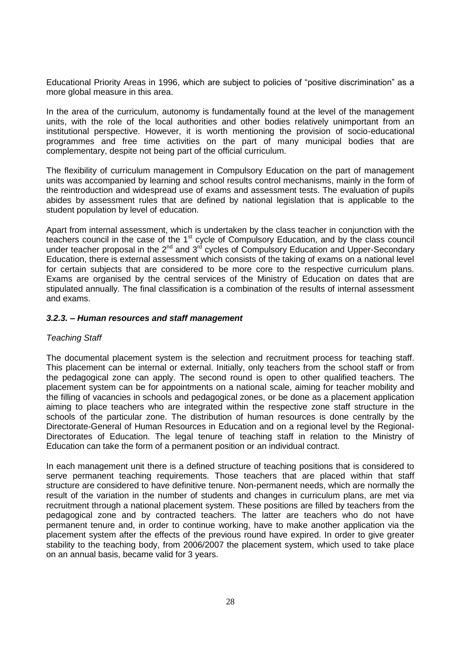Educational Priority Areas in 1996, which are subject to policies of "positive discrimination" as a more global measure in this area.

In the area of the curriculum, autonomy is fundamentally found at the level of the management units, with the role of the local authorities and other bodies relatively unimportant from an institutional perspective. However, it is worth mentioning the provision of socio-educational programmes and free time activities on the part of many municipal bodies that are complementary, despite not being part of the official curriculum.

The flexibility of curriculum management in Compulsory Education on the part of management units was accompanied by learning and school results control mechanisms, mainly in the form of the reintroduction and widespread use of exams and assessment tests. The evaluation of pupils abides by assessment rules that are defined by national legislation that is applicable to the student population by level of education.

Apart from internal assessment, which is undertaken by the class teacher in conjunction with the teachers council in the case of the 1<sup>st</sup> cycle of Compulsory Education, and by the class council under teacher proposal in the  $2^{nd}$  and  $3^{rd}$  cycles of Compulsory Education and Upper-Secondary Education, there is external assessment which consists of the taking of exams on a national level for certain subjects that are considered to be more core to the respective curriculum plans. Exams are organised by the central services of the Ministry of Education on dates that are stipulated annually. The final classification is a combination of the results of internal assessment and exams.

#### *3.2.3. – Human resources and staff management*

#### *Teaching Staff*

The documental placement system is the selection and recruitment process for teaching staff. This placement can be internal or external. Initially, only teachers from the school staff or from the pedagogical zone can apply. The second round is open to other qualified teachers. The placement system can be for appointments on a national scale, aiming for teacher mobility and the filling of vacancies in schools and pedagogical zones, or be done as a placement application aiming to place teachers who are integrated within the respective zone staff structure in the schools of the particular zone. The distribution of human resources is done centrally by the Directorate-General of Human Resources in Education and on a regional level by the Regional-Directorates of Education. The legal tenure of teaching staff in relation to the Ministry of Education can take the form of a permanent position or an individual contract.

In each management unit there is a defined structure of teaching positions that is considered to serve permanent teaching requirements. Those teachers that are placed within that staff structure are considered to have definitive tenure. Non-permanent needs, which are normally the result of the variation in the number of students and changes in curriculum plans, are met via recruitment through a national placement system. These positions are filled by teachers from the pedagogical zone and by contracted teachers. The latter are teachers who do not have permanent tenure and, in order to continue working, have to make another application via the placement system after the effects of the previous round have expired. In order to give greater stability to the teaching body, from 2006/2007 the placement system, which used to take place on an annual basis, became valid for 3 years.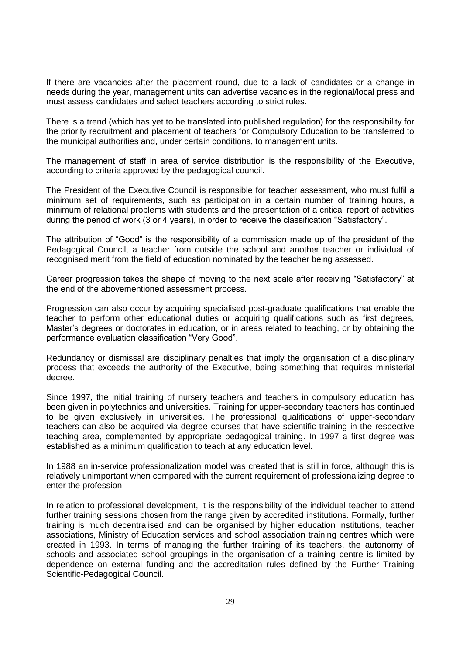If there are vacancies after the placement round, due to a lack of candidates or a change in needs during the year, management units can advertise vacancies in the regional/local press and must assess candidates and select teachers according to strict rules.

There is a trend (which has yet to be translated into published regulation) for the responsibility for the priority recruitment and placement of teachers for Compulsory Education to be transferred to the municipal authorities and, under certain conditions, to management units.

The management of staff in area of service distribution is the responsibility of the Executive, according to criteria approved by the pedagogical council.

The President of the Executive Council is responsible for teacher assessment, who must fulfil a minimum set of requirements, such as participation in a certain number of training hours, a minimum of relational problems with students and the presentation of a critical report of activities during the period of work (3 or 4 years), in order to receive the classification "Satisfactory".

The attribution of "Good" is the responsibility of a commission made up of the president of the Pedagogical Council, a teacher from outside the school and another teacher or individual of recognised merit from the field of education nominated by the teacher being assessed.

Career progression takes the shape of moving to the next scale after receiving "Satisfactory" at the end of the abovementioned assessment process.

Progression can also occur by acquiring specialised post-graduate qualifications that enable the teacher to perform other educational duties or acquiring qualifications such as first degrees, Master"s degrees or doctorates in education, or in areas related to teaching, or by obtaining the performance evaluation classification "Very Good".

Redundancy or dismissal are disciplinary penalties that imply the organisation of a disciplinary process that exceeds the authority of the Executive, being something that requires ministerial decree*.* 

Since 1997, the initial training of nursery teachers and teachers in compulsory education has been given in polytechnics and universities. Training for upper-secondary teachers has continued to be given exclusively in universities. The professional qualifications of upper-secondary teachers can also be acquired via degree courses that have scientific training in the respective teaching area, complemented by appropriate pedagogical training. In 1997 a first degree was established as a minimum qualification to teach at any education level.

In 1988 an in-service professionalization model was created that is still in force, although this is relatively unimportant when compared with the current requirement of professionalizing degree to enter the profession.

In relation to professional development, it is the responsibility of the individual teacher to attend further training sessions chosen from the range given by accredited institutions. Formally, further training is much decentralised and can be organised by higher education institutions, teacher associations, Ministry of Education services and school association training centres which were created in 1993. In terms of managing the further training of its teachers, the autonomy of schools and associated school groupings in the organisation of a training centre is limited by dependence on external funding and the accreditation rules defined by the Further Training Scientific-Pedagogical Council.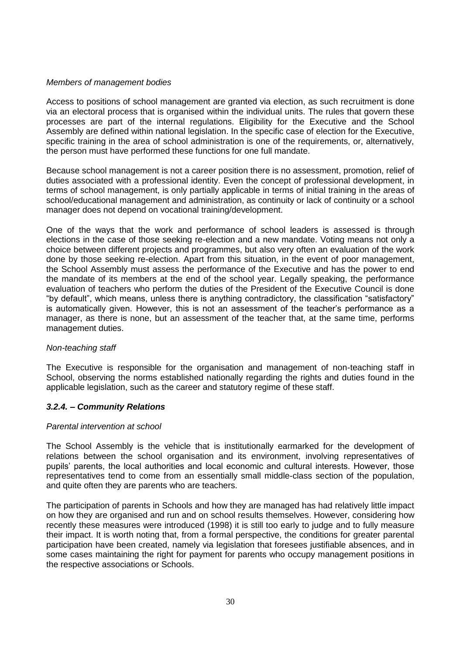#### *Members of management bodies*

Access to positions of school management are granted via election, as such recruitment is done via an electoral process that is organised within the individual units. The rules that govern these processes are part of the internal regulations. Eligibility for the Executive and the School Assembly are defined within national legislation. In the specific case of election for the Executive, specific training in the area of school administration is one of the requirements, or, alternatively, the person must have performed these functions for one full mandate.

Because school management is not a career position there is no assessment, promotion, relief of duties associated with a professional identity. Even the concept of professional development, in terms of school management, is only partially applicable in terms of initial training in the areas of school/educational management and administration, as continuity or lack of continuity or a school manager does not depend on vocational training/development.

One of the ways that the work and performance of school leaders is assessed is through elections in the case of those seeking re-election and a new mandate. Voting means not only a choice between different projects and programmes, but also very often an evaluation of the work done by those seeking re-election. Apart from this situation, in the event of poor management, the School Assembly must assess the performance of the Executive and has the power to end the mandate of its members at the end of the school year. Legally speaking, the performance evaluation of teachers who perform the duties of the President of the Executive Council is done "by default", which means, unless there is anything contradictory, the classification "satisfactory" is automatically given. However, this is not an assessment of the teacher"s performance as a manager, as there is none, but an assessment of the teacher that, at the same time, performs management duties.

## *Non-teaching staff*

The Executive is responsible for the organisation and management of non-teaching staff in School, observing the norms established nationally regarding the rights and duties found in the applicable legislation, such as the career and statutory regime of these staff.

## *3.2.4. – Community Relations*

#### *Parental intervention at school*

The School Assembly is the vehicle that is institutionally earmarked for the development of relations between the school organisation and its environment, involving representatives of pupils" parents, the local authorities and local economic and cultural interests. However, those representatives tend to come from an essentially small middle-class section of the population, and quite often they are parents who are teachers.

The participation of parents in Schools and how they are managed has had relatively little impact on how they are organised and run and on school results themselves. However, considering how recently these measures were introduced (1998) it is still too early to judge and to fully measure their impact. It is worth noting that, from a formal perspective, the conditions for greater parental participation have been created, namely via legislation that foresees justifiable absences, and in some cases maintaining the right for payment for parents who occupy management positions in the respective associations or Schools.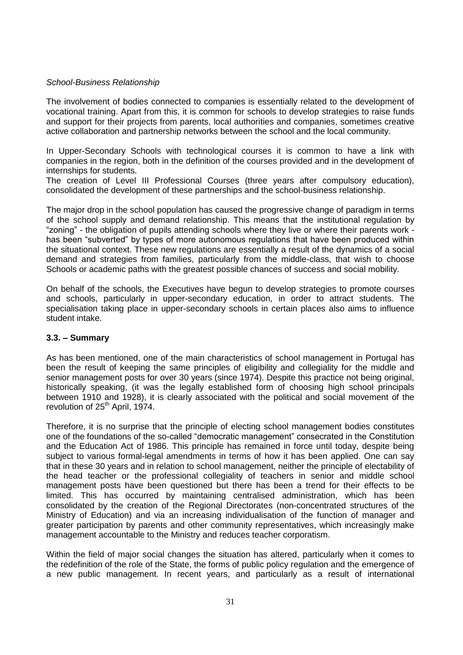### *School-Business Relationship*

The involvement of bodies connected to companies is essentially related to the development of vocational training. Apart from this, it is common for schools to develop strategies to raise funds and support for their projects from parents, local authorities and companies, sometimes creative active collaboration and partnership networks between the school and the local community.

In Upper-Secondary Schools with technological courses it is common to have a link with companies in the region, both in the definition of the courses provided and in the development of internships for students.

The creation of Level III Professional Courses (three years after compulsory education), consolidated the development of these partnerships and the school-business relationship.

The major drop in the school population has caused the progressive change of paradigm in terms of the school supply and demand relationship. This means that the institutional regulation by "zoning" - the obligation of pupils attending schools where they live or where their parents work has been "subverted" by types of more autonomous regulations that have been produced within the situational context. These new regulations are essentially a result of the dynamics of a social demand and strategies from families, particularly from the middle-class, that wish to choose Schools or academic paths with the greatest possible chances of success and social mobility.

On behalf of the schools, the Executives have begun to develop strategies to promote courses and schools, particularly in upper-secondary education, in order to attract students. The specialisation taking place in upper-secondary schools in certain places also aims to influence student intake.

#### **3.3. – Summary**

As has been mentioned, one of the main characteristics of school management in Portugal has been the result of keeping the same principles of eligibility and collegiality for the middle and senior management posts for over 30 years (since 1974). Despite this practice not being original, historically speaking, (it was the legally established form of choosing high school principals between 1910 and 1928), it is clearly associated with the political and social movement of the revolution of 25<sup>th</sup> April, 1974.

Therefore, it is no surprise that the principle of electing school management bodies constitutes one of the foundations of the so-called "democratic management" consecrated in the Constitution and the Education Act of 1986. This principle has remained in force until today, despite being subject to various formal-legal amendments in terms of how it has been applied. One can say that in these 30 years and in relation to school management, neither the principle of electability of the head teacher or the professional collegiality of teachers in senior and middle school management posts have been questioned but there has been a trend for their effects to be limited. This has occurred by maintaining centralised administration, which has been consolidated by the creation of the Regional Directorates (non-concentrated structures of the Ministry of Education) and via an increasing individualisation of the function of manager and greater participation by parents and other community representatives, which increasingly make management accountable to the Ministry and reduces teacher corporatism.

Within the field of major social changes the situation has altered, particularly when it comes to the redefinition of the role of the State, the forms of public policy regulation and the emergence of a new public management. In recent years, and particularly as a result of international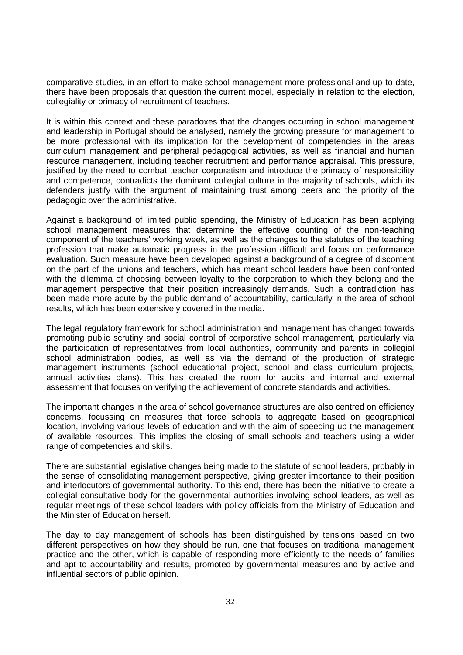comparative studies, in an effort to make school management more professional and up-to-date, there have been proposals that question the current model, especially in relation to the election, collegiality or primacy of recruitment of teachers.

It is within this context and these paradoxes that the changes occurring in school management and leadership in Portugal should be analysed, namely the growing pressure for management to be more professional with its implication for the development of competencies in the areas curriculum management and peripheral pedagogical activities, as well as financial and human resource management, including teacher recruitment and performance appraisal. This pressure, justified by the need to combat teacher corporatism and introduce the primacy of responsibility and competence, contradicts the dominant collegial culture in the majority of schools, which its defenders justify with the argument of maintaining trust among peers and the priority of the pedagogic over the administrative.

Against a background of limited public spending, the Ministry of Education has been applying school management measures that determine the effective counting of the non-teaching component of the teachers" working week, as well as the changes to the statutes of the teaching profession that make automatic progress in the profession difficult and focus on performance evaluation. Such measure have been developed against a background of a degree of discontent on the part of the unions and teachers, which has meant school leaders have been confronted with the dilemma of choosing between loyalty to the corporation to which they belong and the management perspective that their position increasingly demands. Such a contradiction has been made more acute by the public demand of accountability, particularly in the area of school results, which has been extensively covered in the media.

The legal regulatory framework for school administration and management has changed towards promoting public scrutiny and social control of corporative school management, particularly via the participation of representatives from local authorities, community and parents in collegial school administration bodies, as well as via the demand of the production of strategic management instruments (school educational project, school and class curriculum projects, annual activities plans). This has created the room for audits and internal and external assessment that focuses on verifying the achievement of concrete standards and activities.

The important changes in the area of school governance structures are also centred on efficiency concerns, focussing on measures that force schools to aggregate based on geographical location, involving various levels of education and with the aim of speeding up the management of available resources. This implies the closing of small schools and teachers using a wider range of competencies and skills.

There are substantial legislative changes being made to the statute of school leaders, probably in the sense of consolidating management perspective, giving greater importance to their position and interlocutors of governmental authority. To this end, there has been the initiative to create a collegial consultative body for the governmental authorities involving school leaders, as well as regular meetings of these school leaders with policy officials from the Ministry of Education and the Minister of Education herself.

The day to day management of schools has been distinguished by tensions based on two different perspectives on how they should be run, one that focuses on traditional management practice and the other, which is capable of responding more efficiently to the needs of families and apt to accountability and results, promoted by governmental measures and by active and influential sectors of public opinion.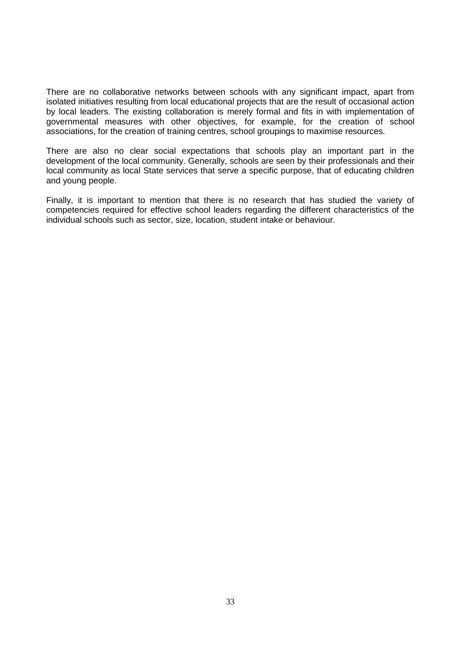There are no collaborative networks between schools with any significant impact, apart from isolated initiatives resulting from local educational projects that are the result of occasional action by local leaders. The existing collaboration is merely formal and fits in with implementation of governmental measures with other objectives, for example, for the creation of school associations, for the creation of training centres, school groupings to maximise resources.

There are also no clear social expectations that schools play an important part in the development of the local community. Generally, schools are seen by their professionals and their local community as local State services that serve a specific purpose, that of educating children and young people.

Finally, it is important to mention that there is no research that has studied the variety of competencies required for effective school leaders regarding the different characteristics of the individual schools such as sector, size, location, student intake or behaviour.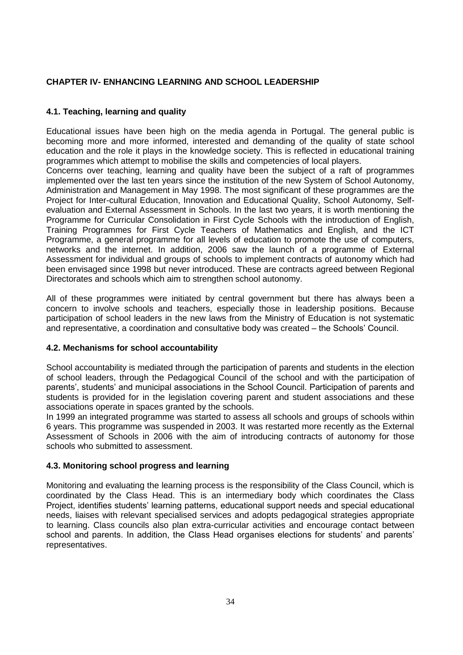# **CHAPTER IV- ENHANCING LEARNING AND SCHOOL LEADERSHIP**

# **4.1. Teaching, learning and quality**

Educational issues have been high on the media agenda in Portugal. The general public is becoming more and more informed, interested and demanding of the quality of state school education and the role it plays in the knowledge society. This is reflected in educational training programmes which attempt to mobilise the skills and competencies of local players.

Concerns over teaching, learning and quality have been the subject of a raft of programmes implemented over the last ten years since the institution of the new System of School Autonomy, Administration and Management in May 1998. The most significant of these programmes are the Project for Inter-cultural Education, Innovation and Educational Quality, School Autonomy, Selfevaluation and External Assessment in Schools. In the last two years, it is worth mentioning the Programme for Curricular Consolidation in First Cycle Schools with the introduction of English, Training Programmes for First Cycle Teachers of Mathematics and English, and the ICT Programme, a general programme for all levels of education to promote the use of computers, networks and the internet. In addition, 2006 saw the launch of a programme of External Assessment for individual and groups of schools to implement contracts of autonomy which had been envisaged since 1998 but never introduced. These are contracts agreed between Regional Directorates and schools which aim to strengthen school autonomy.

All of these programmes were initiated by central government but there has always been a concern to involve schools and teachers, especially those in leadership positions. Because participation of school leaders in the new laws from the Ministry of Education is not systematic and representative, a coordination and consultative body was created – the Schools" Council.

## **4.2. Mechanisms for school accountability**

School accountability is mediated through the participation of parents and students in the election of school leaders, through the Pedagogical Council of the school and with the participation of parents', students' and municipal associations in the School Council. Participation of parents and students is provided for in the legislation covering parent and student associations and these associations operate in spaces granted by the schools.

In 1999 an integrated programme was started to assess all schools and groups of schools within 6 years. This programme was suspended in 2003. It was restarted more recently as the External Assessment of Schools in 2006 with the aim of introducing contracts of autonomy for those schools who submitted to assessment.

## **4.3. Monitoring school progress and learning**

Monitoring and evaluating the learning process is the responsibility of the Class Council, which is coordinated by the Class Head. This is an intermediary body which coordinates the Class Project, identifies students" learning patterns, educational support needs and special educational needs, liaises with relevant specialised services and adopts pedagogical strategies appropriate to learning. Class councils also plan extra-curricular activities and encourage contact between school and parents. In addition, the Class Head organises elections for students' and parents' representatives.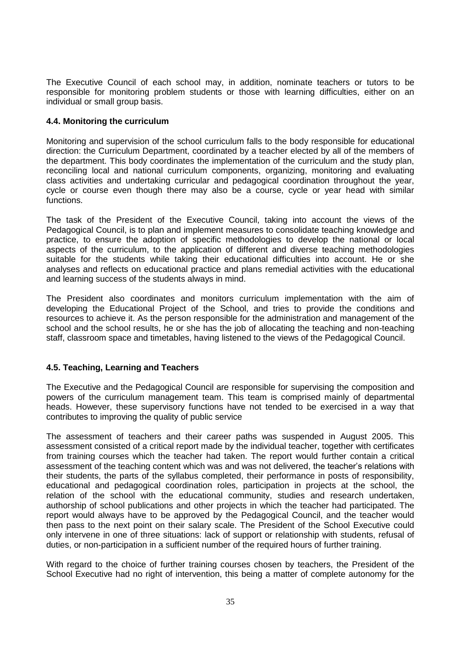The Executive Council of each school may, in addition, nominate teachers or tutors to be responsible for monitoring problem students or those with learning difficulties, either on an individual or small group basis.

## **4.4. Monitoring the curriculum**

Monitoring and supervision of the school curriculum falls to the body responsible for educational direction: the Curriculum Department, coordinated by a teacher elected by all of the members of the department. This body coordinates the implementation of the curriculum and the study plan, reconciling local and national curriculum components, organizing, monitoring and evaluating class activities and undertaking curricular and pedagogical coordination throughout the year, cycle or course even though there may also be a course, cycle or year head with similar functions.

The task of the President of the Executive Council, taking into account the views of the Pedagogical Council, is to plan and implement measures to consolidate teaching knowledge and practice, to ensure the adoption of specific methodologies to develop the national or local aspects of the curriculum, to the application of different and diverse teaching methodologies suitable for the students while taking their educational difficulties into account. He or she analyses and reflects on educational practice and plans remedial activities with the educational and learning success of the students always in mind.

The President also coordinates and monitors curriculum implementation with the aim of developing the Educational Project of the School, and tries to provide the conditions and resources to achieve it. As the person responsible for the administration and management of the school and the school results, he or she has the job of allocating the teaching and non-teaching staff, classroom space and timetables, having listened to the views of the Pedagogical Council.

### **4.5. Teaching, Learning and Teachers**

The Executive and the Pedagogical Council are responsible for supervising the composition and powers of the curriculum management team. This team is comprised mainly of departmental heads. However, these supervisory functions have not tended to be exercised in a way that contributes to improving the quality of public service

The assessment of teachers and their career paths was suspended in August 2005. This assessment consisted of a critical report made by the individual teacher, together with certificates from training courses which the teacher had taken. The report would further contain a critical assessment of the teaching content which was and was not delivered, the teacher"s relations with their students, the parts of the syllabus completed, their performance in posts of responsibility, educational and pedagogical coordination roles, participation in projects at the school, the relation of the school with the educational community, studies and research undertaken, authorship of school publications and other projects in which the teacher had participated. The report would always have to be approved by the Pedagogical Council, and the teacher would then pass to the next point on their salary scale. The President of the School Executive could only intervene in one of three situations: lack of support or relationship with students, refusal of duties, or non-participation in a sufficient number of the required hours of further training.

With regard to the choice of further training courses chosen by teachers, the President of the School Executive had no right of intervention, this being a matter of complete autonomy for the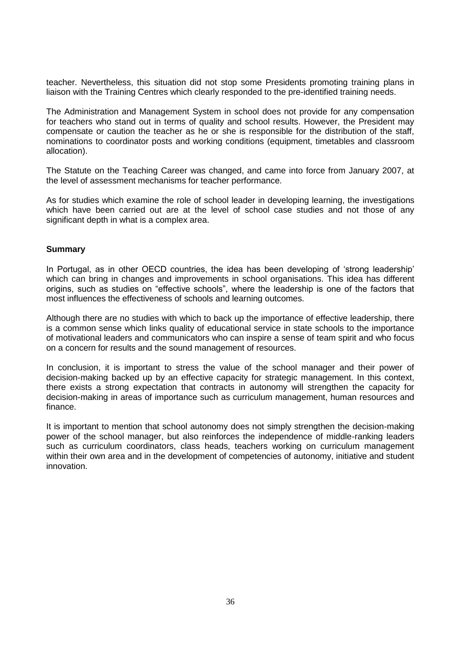teacher. Nevertheless, this situation did not stop some Presidents promoting training plans in liaison with the Training Centres which clearly responded to the pre-identified training needs.

The Administration and Management System in school does not provide for any compensation for teachers who stand out in terms of quality and school results. However, the President may compensate or caution the teacher as he or she is responsible for the distribution of the staff, nominations to coordinator posts and working conditions (equipment, timetables and classroom allocation).

The Statute on the Teaching Career was changed, and came into force from January 2007, at the level of assessment mechanisms for teacher performance.

As for studies which examine the role of school leader in developing learning, the investigations which have been carried out are at the level of school case studies and not those of any significant depth in what is a complex area.

#### **Summary**

In Portugal, as in other OECD countries, the idea has been developing of "strong leadership" which can bring in changes and improvements in school organisations. This idea has different origins, such as studies on "effective schools", where the leadership is one of the factors that most influences the effectiveness of schools and learning outcomes.

Although there are no studies with which to back up the importance of effective leadership, there is a common sense which links quality of educational service in state schools to the importance of motivational leaders and communicators who can inspire a sense of team spirit and who focus on a concern for results and the sound management of resources.

In conclusion, it is important to stress the value of the school manager and their power of decision-making backed up by an effective capacity for strategic management. In this context, there exists a strong expectation that contracts in autonomy will strengthen the capacity for decision-making in areas of importance such as curriculum management, human resources and finance.

It is important to mention that school autonomy does not simply strengthen the decision-making power of the school manager, but also reinforces the independence of middle-ranking leaders such as curriculum coordinators, class heads, teachers working on curriculum management within their own area and in the development of competencies of autonomy, initiative and student innovation.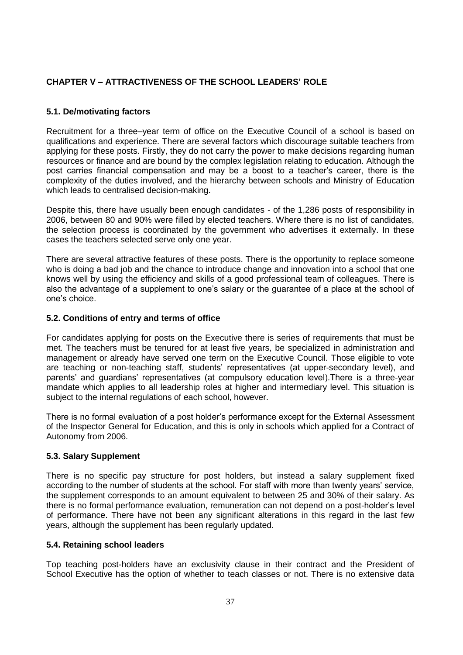# **CHAPTER V – ATTRACTIVENESS OF THE SCHOOL LEADERS" ROLE**

## **5.1. De/motivating factors**

Recruitment for a three–year term of office on the Executive Council of a school is based on qualifications and experience. There are several factors which discourage suitable teachers from applying for these posts. Firstly, they do not carry the power to make decisions regarding human resources or finance and are bound by the complex legislation relating to education. Although the post carries financial compensation and may be a boost to a teacher"s career, there is the complexity of the duties involved, and the hierarchy between schools and Ministry of Education which leads to centralised decision-making.

Despite this, there have usually been enough candidates - of the 1,286 posts of responsibility in 2006, between 80 and 90% were filled by elected teachers. Where there is no list of candidates, the selection process is coordinated by the government who advertises it externally. In these cases the teachers selected serve only one year.

There are several attractive features of these posts. There is the opportunity to replace someone who is doing a bad job and the chance to introduce change and innovation into a school that one knows well by using the efficiency and skills of a good professional team of colleagues. There is also the advantage of a supplement to one"s salary or the guarantee of a place at the school of one"s choice.

### **5.2. Conditions of entry and terms of office**

For candidates applying for posts on the Executive there is series of requirements that must be met. The teachers must be tenured for at least five years, be specialized in administration and management or already have served one term on the Executive Council. Those eligible to vote are teaching or non-teaching staff, students' representatives (at upper-secondary level), and parents" and guardians" representatives (at compulsory education level).There is a three-year mandate which applies to all leadership roles at higher and intermediary level. This situation is subject to the internal regulations of each school, however.

There is no formal evaluation of a post holder"s performance except for the External Assessment of the Inspector General for Education, and this is only in schools which applied for a Contract of Autonomy from 2006.

## **5.3. Salary Supplement**

There is no specific pay structure for post holders, but instead a salary supplement fixed according to the number of students at the school. For staff with more than twenty years" service, the supplement corresponds to an amount equivalent to between 25 and 30% of their salary. As there is no formal performance evaluation, remuneration can not depend on a post-holder"s level of performance. There have not been any significant alterations in this regard in the last few years, although the supplement has been regularly updated.

## **5.4. Retaining school leaders**

Top teaching post-holders have an exclusivity clause in their contract and the President of School Executive has the option of whether to teach classes or not. There is no extensive data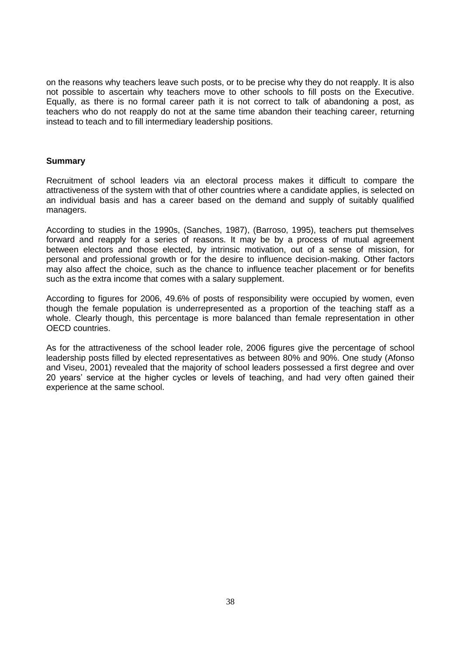on the reasons why teachers leave such posts, or to be precise why they do not reapply. It is also not possible to ascertain why teachers move to other schools to fill posts on the Executive. Equally, as there is no formal career path it is not correct to talk of abandoning a post, as teachers who do not reapply do not at the same time abandon their teaching career, returning instead to teach and to fill intermediary leadership positions.

#### **Summary**

Recruitment of school leaders via an electoral process makes it difficult to compare the attractiveness of the system with that of other countries where a candidate applies, is selected on an individual basis and has a career based on the demand and supply of suitably qualified managers.

According to studies in the 1990s, (Sanches, 1987), (Barroso, 1995), teachers put themselves forward and reapply for a series of reasons. It may be by a process of mutual agreement between electors and those elected, by intrinsic motivation, out of a sense of mission, for personal and professional growth or for the desire to influence decision-making. Other factors may also affect the choice, such as the chance to influence teacher placement or for benefits such as the extra income that comes with a salary supplement.

According to figures for 2006, 49.6% of posts of responsibility were occupied by women, even though the female population is underrepresented as a proportion of the teaching staff as a whole. Clearly though, this percentage is more balanced than female representation in other OECD countries.

As for the attractiveness of the school leader role, 2006 figures give the percentage of school leadership posts filled by elected representatives as between 80% and 90%. One study (Afonso and Viseu, 2001) revealed that the majority of school leaders possessed a first degree and over 20 years" service at the higher cycles or levels of teaching, and had very often gained their experience at the same school.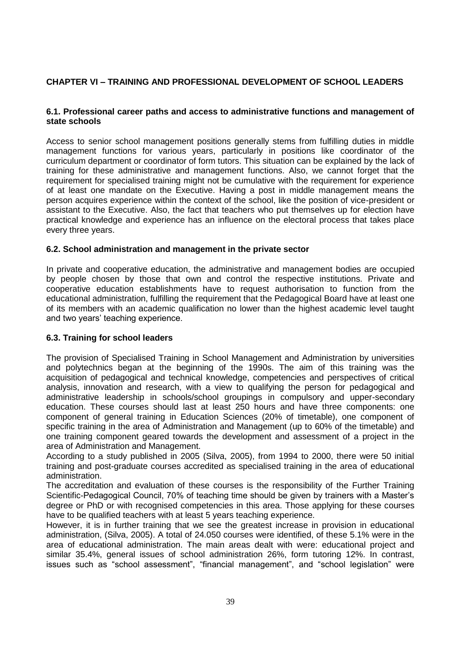# **CHAPTER VI – TRAINING AND PROFESSIONAL DEVELOPMENT OF SCHOOL LEADERS**

## **6.1. Professional career paths and access to administrative functions and management of state schools**

Access to senior school management positions generally stems from fulfilling duties in middle management functions for various years, particularly in positions like coordinator of the curriculum department or coordinator of form tutors. This situation can be explained by the lack of training for these administrative and management functions. Also, we cannot forget that the requirement for specialised training might not be cumulative with the requirement for experience of at least one mandate on the Executive. Having a post in middle management means the person acquires experience within the context of the school, like the position of vice-president or assistant to the Executive. Also, the fact that teachers who put themselves up for election have practical knowledge and experience has an influence on the electoral process that takes place every three years.

### **6.2. School administration and management in the private sector**

In private and cooperative education, the administrative and management bodies are occupied by people chosen by those that own and control the respective institutions. Private and cooperative education establishments have to request authorisation to function from the educational administration, fulfilling the requirement that the Pedagogical Board have at least one of its members with an academic qualification no lower than the highest academic level taught and two years' teaching experience.

#### **6.3. Training for school leaders**

The provision of Specialised Training in School Management and Administration by universities and polytechnics began at the beginning of the 1990s. The aim of this training was the acquisition of pedagogical and technical knowledge, competencies and perspectives of critical analysis, innovation and research, with a view to qualifying the person for pedagogical and administrative leadership in schools/school groupings in compulsory and upper-secondary education. These courses should last at least 250 hours and have three components: one component of general training in Education Sciences (20% of timetable), one component of specific training in the area of Administration and Management (up to 60% of the timetable) and one training component geared towards the development and assessment of a project in the area of Administration and Management.

According to a study published in 2005 (Silva, 2005), from 1994 to 2000, there were 50 initial training and post-graduate courses accredited as specialised training in the area of educational administration.

The accreditation and evaluation of these courses is the responsibility of the Further Training Scientific-Pedagogical Council, 70% of teaching time should be given by trainers with a Master"s degree or PhD or with recognised competencies in this area. Those applying for these courses have to be qualified teachers with at least 5 years teaching experience.

However, it is in further training that we see the greatest increase in provision in educational administration, (Silva, 2005). A total of 24.050 courses were identified, of these 5.1% were in the area of educational administration. The main areas dealt with were: educational project and similar 35.4%, general issues of school administration 26%, form tutoring 12%. In contrast, issues such as "school assessment", "financial management", and "school legislation" were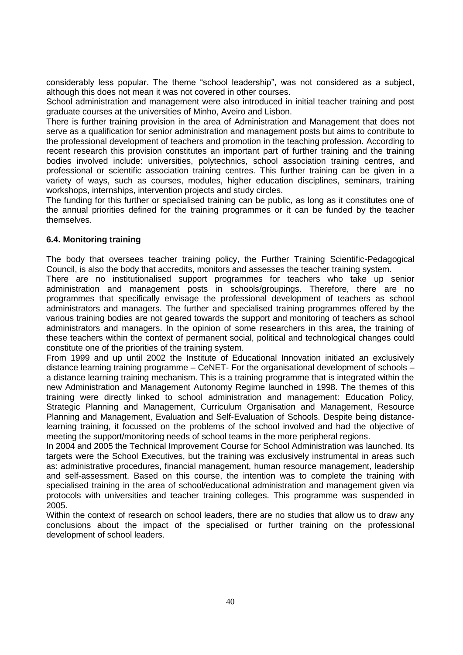considerably less popular. The theme "school leadership", was not considered as a subject, although this does not mean it was not covered in other courses.

School administration and management were also introduced in initial teacher training and post graduate courses at the universities of Minho, Aveiro and Lisbon.

There is further training provision in the area of Administration and Management that does not serve as a qualification for senior administration and management posts but aims to contribute to the professional development of teachers and promotion in the teaching profession. According to recent research this provision constitutes an important part of further training and the training bodies involved include: universities, polytechnics, school association training centres, and professional or scientific association training centres. This further training can be given in a variety of ways, such as courses, modules, higher education disciplines, seminars, training workshops, internships, intervention projects and study circles.

The funding for this further or specialised training can be public, as long as it constitutes one of the annual priorities defined for the training programmes or it can be funded by the teacher themselves.

## **6.4. Monitoring training**

The body that oversees teacher training policy, the Further Training Scientific-Pedagogical Council, is also the body that accredits, monitors and assesses the teacher training system.

There are no institutionalised support programmes for teachers who take up senior administration and management posts in schools/groupings. Therefore, there are no programmes that specifically envisage the professional development of teachers as school administrators and managers. The further and specialised training programmes offered by the various training bodies are not geared towards the support and monitoring of teachers as school administrators and managers. In the opinion of some researchers in this area, the training of these teachers within the context of permanent social, political and technological changes could constitute one of the priorities of the training system.

From 1999 and up until 2002 the Institute of Educational Innovation initiated an exclusively distance learning training programme – CeNET- For the organisational development of schools – a distance learning training mechanism. This is a training programme that is integrated within the new Administration and Management Autonomy Regime launched in 1998. The themes of this training were directly linked to school administration and management: Education Policy, Strategic Planning and Management, Curriculum Organisation and Management, Resource Planning and Management, Evaluation and Self-Evaluation of Schools. Despite being distancelearning training, it focussed on the problems of the school involved and had the objective of meeting the support/monitoring needs of school teams in the more peripheral regions.

In 2004 and 2005 the Technical Improvement Course for School Administration was launched. Its targets were the School Executives, but the training was exclusively instrumental in areas such as: administrative procedures, financial management, human resource management, leadership and self-assessment. Based on this course, the intention was to complete the training with specialised training in the area of school/educational administration and management given via protocols with universities and teacher training colleges. This programme was suspended in 2005.

Within the context of research on school leaders, there are no studies that allow us to draw any conclusions about the impact of the specialised or further training on the professional development of school leaders.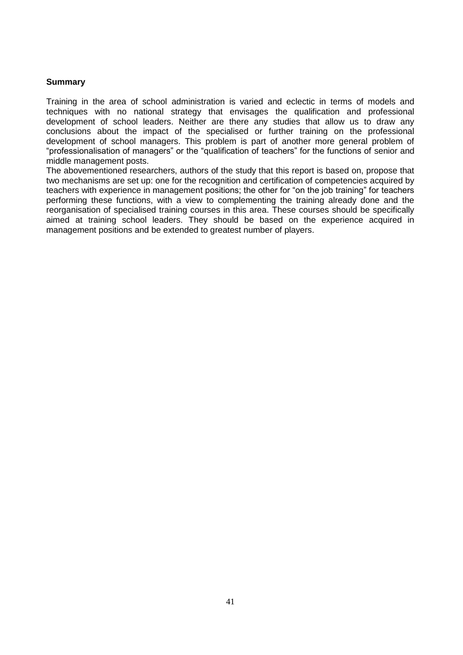### **Summary**

Training in the area of school administration is varied and eclectic in terms of models and techniques with no national strategy that envisages the qualification and professional development of school leaders. Neither are there any studies that allow us to draw any conclusions about the impact of the specialised or further training on the professional development of school managers. This problem is part of another more general problem of "professionalisation of managers" or the "qualification of teachers" for the functions of senior and middle management posts.

The abovementioned researchers, authors of the study that this report is based on, propose that two mechanisms are set up: one for the recognition and certification of competencies acquired by teachers with experience in management positions; the other for "on the job training" for teachers performing these functions, with a view to complementing the training already done and the reorganisation of specialised training courses in this area. These courses should be specifically aimed at training school leaders. They should be based on the experience acquired in management positions and be extended to greatest number of players.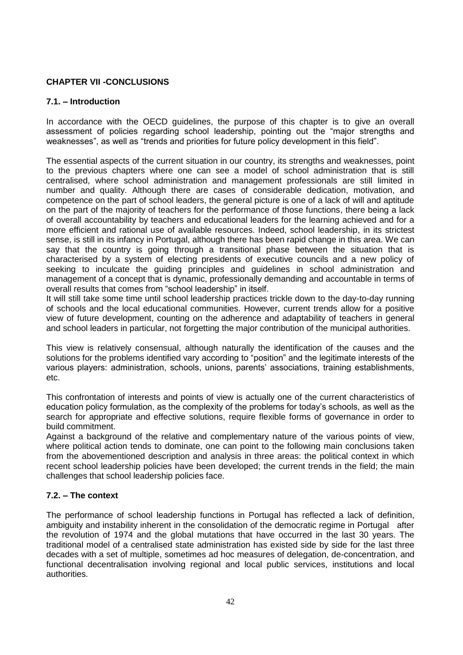## **CHAPTER VII -CONCLUSIONS**

#### **7.1. – Introduction**

In accordance with the OECD guidelines, the purpose of this chapter is to give an overall assessment of policies regarding school leadership, pointing out the "major strengths and weaknesses", as well as "trends and priorities for future policy development in this field".

The essential aspects of the current situation in our country, its strengths and weaknesses, point to the previous chapters where one can see a model of school administration that is still centralised, where school administration and management professionals are still limited in number and quality. Although there are cases of considerable dedication, motivation, and competence on the part of school leaders, the general picture is one of a lack of will and aptitude on the part of the majority of teachers for the performance of those functions, there being a lack of overall accountability by teachers and educational leaders for the learning achieved and for a more efficient and rational use of available resources. Indeed, school leadership, in its strictest sense, is still in its infancy in Portugal, although there has been rapid change in this area. We can say that the country is going through a transitional phase between the situation that is characterised by a system of electing presidents of executive councils and a new policy of seeking to inculcate the guiding principles and guidelines in school administration and management of a concept that is dynamic, professionally demanding and accountable in terms of overall results that comes from "school leadership" in itself.

It will still take some time until school leadership practices trickle down to the day-to-day running of schools and the local educational communities. However, current trends allow for a positive view of future development, counting on the adherence and adaptability of teachers in general and school leaders in particular, not forgetting the major contribution of the municipal authorities.

This view is relatively consensual, although naturally the identification of the causes and the solutions for the problems identified vary according to "position" and the legitimate interests of the various players: administration, schools, unions, parents" associations, training establishments, etc.

This confrontation of interests and points of view is actually one of the current characteristics of education policy formulation, as the complexity of the problems for today"s schools, as well as the search for appropriate and effective solutions, require flexible forms of governance in order to build commitment.

Against a background of the relative and complementary nature of the various points of view, where political action tends to dominate, one can point to the following main conclusions taken from the abovementioned description and analysis in three areas: the political context in which recent school leadership policies have been developed; the current trends in the field; the main challenges that school leadership policies face.

## **7.2. – The context**

The performance of school leadership functions in Portugal has reflected a lack of definition, ambiguity and instability inherent in the consolidation of the democratic regime in Portugal after the revolution of 1974 and the global mutations that have occurred in the last 30 years. The traditional model of a centralised state administration has existed side by side for the last three decades with a set of multiple, sometimes ad hoc measures of delegation, de-concentration, and functional decentralisation involving regional and local public services, institutions and local authorities.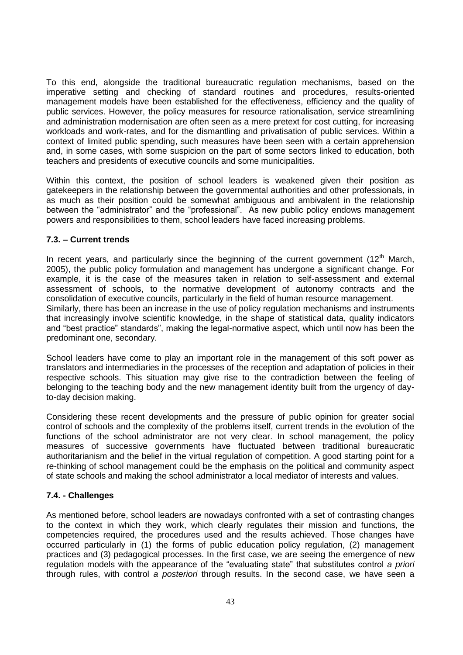To this end, alongside the traditional bureaucratic regulation mechanisms, based on the imperative setting and checking of standard routines and procedures, results-oriented management models have been established for the effectiveness, efficiency and the quality of public services. However, the policy measures for resource rationalisation, service streamlining and administration modernisation are often seen as a mere pretext for cost cutting, for increasing workloads and work-rates, and for the dismantling and privatisation of public services. Within a context of limited public spending, such measures have been seen with a certain apprehension and, in some cases, with some suspicion on the part of some sectors linked to education, both teachers and presidents of executive councils and some municipalities.

Within this context, the position of school leaders is weakened given their position as gatekeepers in the relationship between the governmental authorities and other professionals, in as much as their position could be somewhat ambiguous and ambivalent in the relationship between the "administrator" and the "professional". As new public policy endows management powers and responsibilities to them, school leaders have faced increasing problems.

### **7.3. – Current trends**

In recent years, and particularly since the beginning of the current government  $(12<sup>th</sup>$  March, 2005), the public policy formulation and management has undergone a significant change. For example, it is the case of the measures taken in relation to self-assessment and external assessment of schools, to the normative development of autonomy contracts and the consolidation of executive councils, particularly in the field of human resource management. Similarly, there has been an increase in the use of policy regulation mechanisms and instruments that increasingly involve scientific knowledge, in the shape of statistical data, quality indicators and "best practice" standards", making the legal-normative aspect, which until now has been the predominant one, secondary.

School leaders have come to play an important role in the management of this soft power as translators and intermediaries in the processes of the reception and adaptation of policies in their respective schools. This situation may give rise to the contradiction between the feeling of belonging to the teaching body and the new management identity built from the urgency of dayto-day decision making.

Considering these recent developments and the pressure of public opinion for greater social control of schools and the complexity of the problems itself, current trends in the evolution of the functions of the school administrator are not very clear. In school management, the policy measures of successive governments have fluctuated between traditional bureaucratic authoritarianism and the belief in the virtual regulation of competition. A good starting point for a re-thinking of school management could be the emphasis on the political and community aspect of state schools and making the school administrator a local mediator of interests and values.

#### **7.4. - Challenges**

As mentioned before, school leaders are nowadays confronted with a set of contrasting changes to the context in which they work, which clearly regulates their mission and functions, the competencies required, the procedures used and the results achieved. Those changes have occurred particularly in (1) the forms of public education policy regulation, (2) management practices and (3) pedagogical processes. In the first case, we are seeing the emergence of new regulation models with the appearance of the "evaluating state" that substitutes control *a priori* through rules, with control *a posteriori* through results. In the second case, we have seen a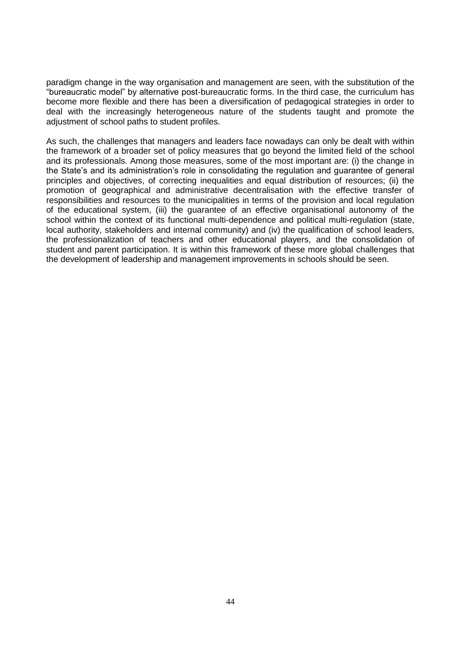paradigm change in the way organisation and management are seen, with the substitution of the "bureaucratic model" by alternative post-bureaucratic forms. In the third case, the curriculum has become more flexible and there has been a diversification of pedagogical strategies in order to deal with the increasingly heterogeneous nature of the students taught and promote the adjustment of school paths to student profiles.

As such, the challenges that managers and leaders face nowadays can only be dealt with within the framework of a broader set of policy measures that go beyond the limited field of the school and its professionals. Among those measures, some of the most important are: (i) the change in the State"s and its administration"s role in consolidating the regulation and guarantee of general principles and objectives, of correcting inequalities and equal distribution of resources; (ii) the promotion of geographical and administrative decentralisation with the effective transfer of responsibilities and resources to the municipalities in terms of the provision and local regulation of the educational system, (iii) the guarantee of an effective organisational autonomy of the school within the context of its functional multi-dependence and political multi-regulation (state, local authority, stakeholders and internal community) and (iv) the qualification of school leaders, the professionalization of teachers and other educational players, and the consolidation of student and parent participation. It is within this framework of these more global challenges that the development of leadership and management improvements in schools should be seen.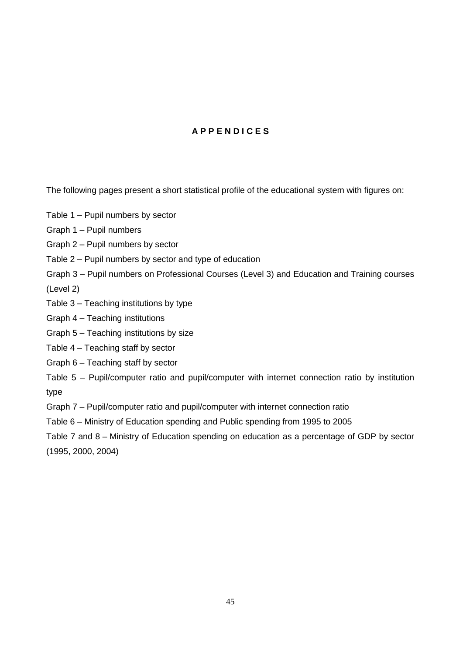# **A P P E N D I C E S**

The following pages present a short statistical profile of the educational system with figures on:

- Table 1 Pupil numbers by sector
- Graph 1 Pupil numbers
- Graph 2 Pupil numbers by sector
- Table 2 Pupil numbers by sector and type of education
- Graph 3 Pupil numbers on Professional Courses (Level 3) and Education and Training courses (Level 2)
- Table 3 Teaching institutions by type
- Graph 4 Teaching institutions
- Graph 5 Teaching institutions by size
- Table 4 Teaching staff by sector
- Graph 6 Teaching staff by sector
- Table 5 Pupil/computer ratio and pupil/computer with internet connection ratio by institution type
- Graph 7 Pupil/computer ratio and pupil/computer with internet connection ratio
- Table 6 Ministry of Education spending and Public spending from 1995 to 2005
- Table 7 and 8 Ministry of Education spending on education as a percentage of GDP by sector (1995, 2000, 2004)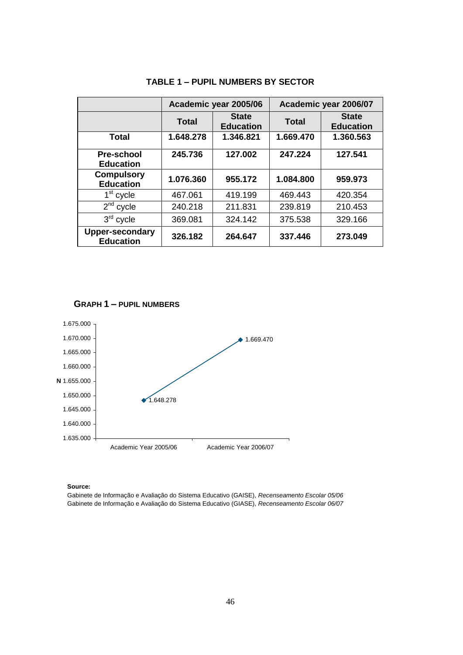|                                            |              | Academic year 2005/06            | Academic year 2006/07 |                                  |  |
|--------------------------------------------|--------------|----------------------------------|-----------------------|----------------------------------|--|
|                                            | <b>Total</b> | <b>State</b><br><b>Education</b> | <b>Total</b>          | <b>State</b><br><b>Education</b> |  |
| <b>Total</b>                               | 1.648.278    | 1.346.821                        | 1.669.470             | 1.360.563                        |  |
| <b>Pre-school</b><br><b>Education</b>      | 245.736      | 127.002                          | 247.224               | 127.541                          |  |
| <b>Compulsory</b><br><b>Education</b>      | 1.076.360    | 955.172                          | 1.084.800             | 959.973                          |  |
| $1st$ cycle                                | 467.061      | 419.199                          | 469.443               | 420.354                          |  |
| $2nd$ cycle                                | 240.218      | 211.831                          | 239.819               | 210.453                          |  |
| $3rd$ cycle                                | 369.081      | 324.142                          | 375.538               | 329.166                          |  |
| <b>Upper-secondary</b><br><b>Education</b> | 326.182      | 264.647                          | 337,446               | 273.049                          |  |

# **TABLE 1 – PUPIL NUMBERS BY SECTOR**





**Source:**

Gabinete de Informação e Avaliação do Sistema Educativo (GAISE), *Recenseamento Escolar 05/06* Gabinete de Informação e Avaliação do Sistema Educativo (GIASE), *Recenseamento Escolar 06/07*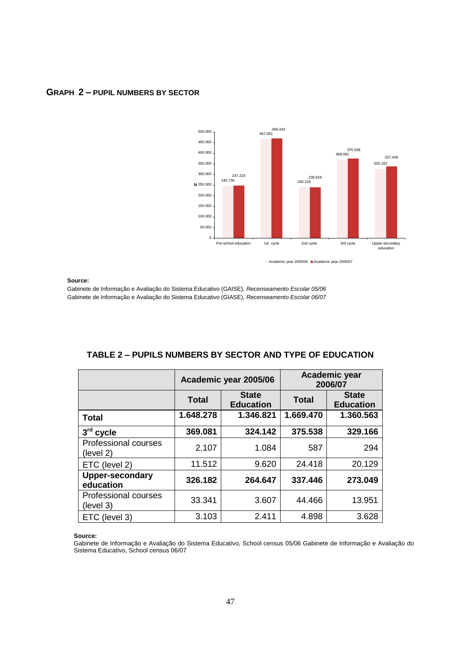

## **GRAPH 2 – PUPIL NUMBERS BY SECTOR**

**Source:**

Gabinete de Informação e Avaliação do Sistema Educativo (GAISE), *Recenseamento Escolar 05/06* Gabinete de Informação e Avaliação do Sistema Educativo (GIASE), *Recenseamento Escolar 06/07*

|                                          |           | Academic year 2005/06            | <b>Academic year</b><br>2006/07 |                                  |  |
|------------------------------------------|-----------|----------------------------------|---------------------------------|----------------------------------|--|
|                                          | Total     | <b>State</b><br><b>Education</b> | <b>Total</b>                    | <b>State</b><br><b>Education</b> |  |
| <b>Total</b>                             | 1.648.278 | 1.346.821                        | 1.669.470                       | 1.360.563                        |  |
| 3rd cycle                                | 369.081   | 324.142                          | 375.538                         | 329.166                          |  |
| Professional courses<br>(level 2)        | 2.107     | 1.084                            | 587                             | 294                              |  |
| ETC (level 2)                            | 11.512    | 9.620                            | 24.418                          | 20.129                           |  |
| <b>Upper-secondary</b><br>education      | 326.182   | 264.647                          | 337.446                         | 273.049                          |  |
| <b>Professional courses</b><br>(level 3) | 33.341    | 3.607                            | 44.466                          | 13.951                           |  |
| ETC (level 3)                            | 3.103     | 2.411                            | 4.898                           | 3.628                            |  |

# **TABLE 2 – PUPILS NUMBERS BY SECTOR AND TYPE OF EDUCATION**

**Source:** 

Gabinete de Informação e Avaliação do Sistema Educativo, School census 05/06 Gabinete de Informação e Avaliação do Sistema Educativo, School census 06/07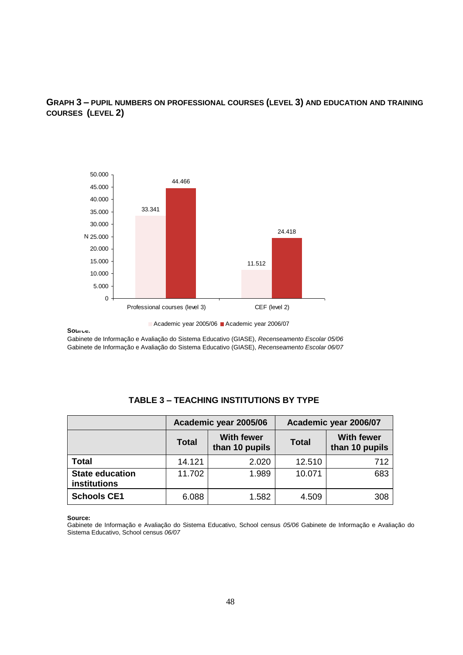# **GRAPH 3 – PUPIL NUMBERS ON PROFESSIONAL COURSES (LEVEL 3) AND EDUCATION AND TRAINING COURSES (LEVEL 2)**



Academic year 2005/06 Academic year 2006/07

#### **Source:**

Gabinete de Informação e Avaliação do Sistema Educativo (GIASE), *Recenseamento Escolar 05/06* Gabinete de Informação e Avaliação do Sistema Educativo (GIASE), *Recenseamento Escolar 06/07*

|                                        |                                                     | Academic year 2005/06 | Academic year 2006/07 |                                     |  |
|----------------------------------------|-----------------------------------------------------|-----------------------|-----------------------|-------------------------------------|--|
|                                        | <b>With fewer</b><br><b>Total</b><br>than 10 pupils |                       | <b>Total</b>          | <b>With fewer</b><br>than 10 pupils |  |
| <b>Total</b>                           | 14.121                                              | 2.020                 | 12.510                | 712                                 |  |
| <b>State education</b><br>institutions | 11.702                                              | 1.989                 | 10.071                | 683                                 |  |
| <b>Schools CE1</b>                     | 6.088                                               | 1.582                 | 4.509                 | 308                                 |  |

## **TABLE 3 – TEACHING INSTITUTIONS BY TYPE**

#### **Source:**

Gabinete de Informação e Avaliação do Sistema Educativo, School census *05/06* Gabinete de Informação e Avaliação do Sistema Educativo, School census *06/07*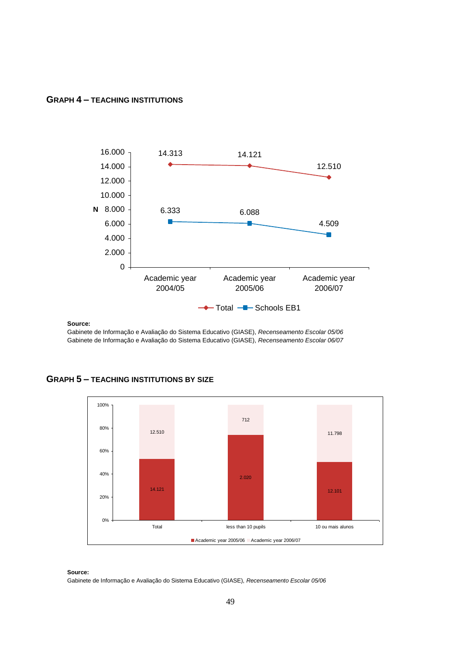#### **GRAPH 4 – TEACHING INSTITUTIONS**



**Source:**

Gabinete de Informação e Avaliação do Sistema Educativo (GIASE), *Recenseamento Escolar 05/06* Gabinete de Informação e Avaliação do Sistema Educativo (GIASE), *Recenseamento Escolar 06/07*





**Source:** Gabinete de Informação e Avaliação do Sistema Educativo (GIASE), *Recenseamento Escolar 05/06*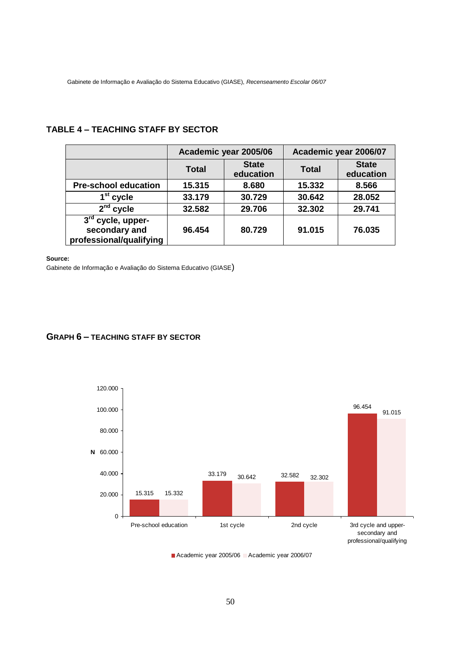Gabinete de Informação e Avaliação do Sistema Educativo (GIASE), *Recenseamento Escolar 06/07*

### **TABLE 4 – TEACHING STAFF BY SECTOR**

|                                                                 |              | Academic year 2005/06     | Academic year 2006/07 |                           |  |
|-----------------------------------------------------------------|--------------|---------------------------|-----------------------|---------------------------|--|
|                                                                 | <b>Total</b> | <b>State</b><br>education | <b>Total</b>          | <b>State</b><br>education |  |
| <b>Pre-school education</b>                                     | 15.315       | 8.680                     | 15.332                | 8.566                     |  |
| 1 <sup>st</sup> cycle                                           | 33.179       | 30.729                    | 30.642                | 28.052                    |  |
| $2nd$ cycle                                                     | 32.582       | 29.706                    | 32.302                | 29.741                    |  |
| $3rd$ cycle, upper-<br>secondary and<br>professional/qualifying | 96.454       | 80.729                    | 91.015                | 76.035                    |  |

#### **Source:**

Gabinete de Informação e Avaliação do Sistema Educativo (GIASE)

#### **GRAPH 6 – TEACHING STAFF BY SECTOR**



Academic year 2005/06 Academic year 2006/07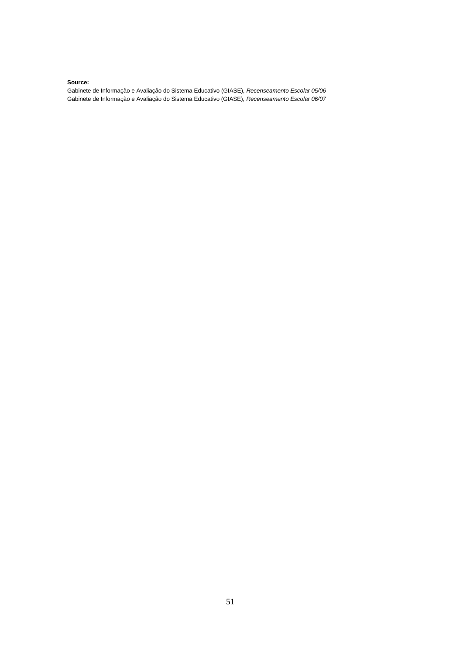#### **Source:**

Gabinete de Informação e Avaliação do Sistema Educativo (GIASE), *Recenseamento Escolar 05/06* Gabinete de Informação e Avaliação do Sistema Educativo (GIASE), *Recenseamento Escolar 06/07*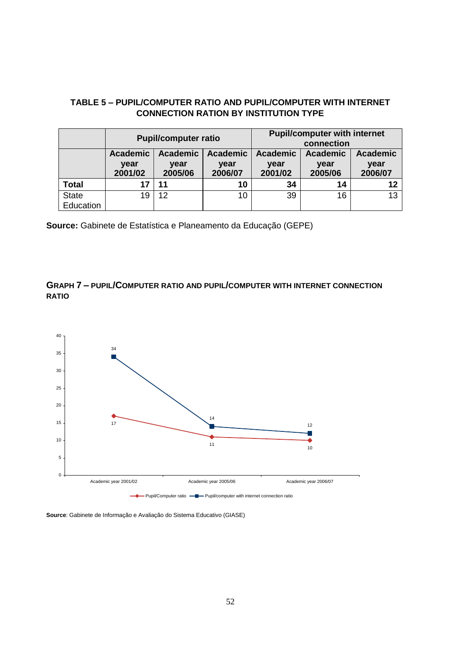## **TABLE 5 – PUPIL/COMPUTER RATIO AND PUPIL/COMPUTER WITH INTERNET CONNECTION RATION BY INSTITUTION TYPE**

|              |                 | <b>Pupil/computer ratio</b> |                 | <b>Pupil/computer with internet</b><br>connection |                 |         |
|--------------|-----------------|-----------------------------|-----------------|---------------------------------------------------|-----------------|---------|
|              | <b>Academic</b> | <b>Academic</b>             | <b>Academic</b> | <b>Academic</b>                                   | <b>Academic</b> |         |
|              | year            | year                        | year            | year                                              | year            | year    |
|              | 2001/02         | 2005/06                     | 2006/07         | 2001/02                                           | 2005/06         | 2006/07 |
| <b>Total</b> | 17              | 11                          | 10              | 34                                                | 14              | 12      |
| <b>State</b> | 19              | 12                          | 10              | 39                                                | 16              | 13      |
| Education    |                 |                             |                 |                                                   |                 |         |

**Source:** Gabinete de Estatística e Planeamento da Educação (GEPE)

# **GRAPH 7 – PUPIL/COMPUTER RATIO AND PUPIL/COMPUTER WITH INTERNET CONNECTION RATIO**



**Source**: Gabinete de Informação e Avaliação do Sistema Educativo (GIASE)